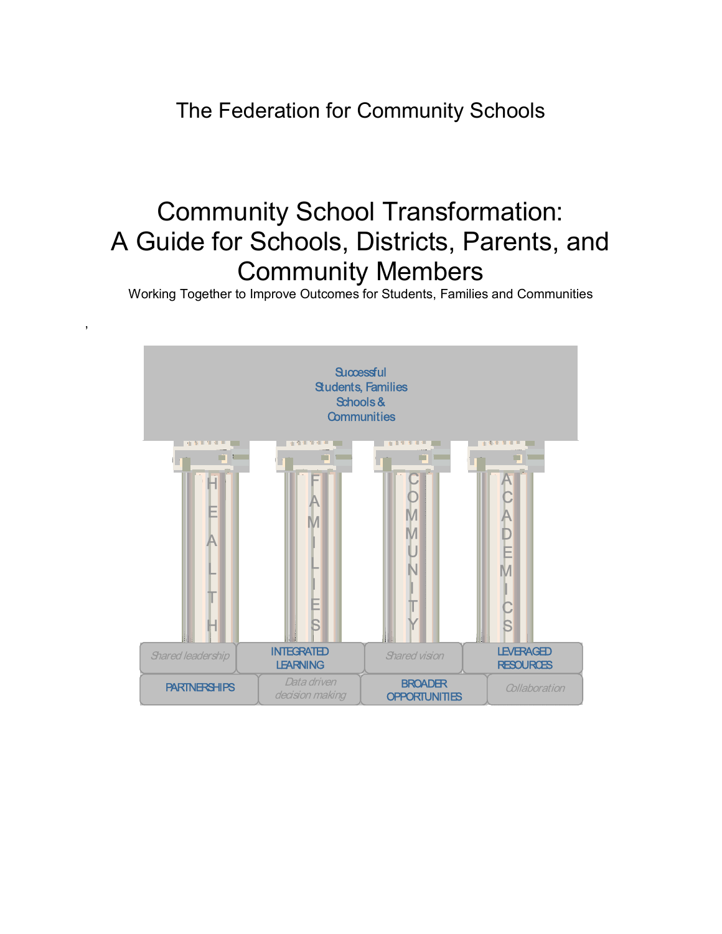The Federation for Community Schools

# Community School Transformation: A Guide for Schools, Districts, Parents, and Community Members

Working Together to Improve Outcomes for Students, Families and Communities

,

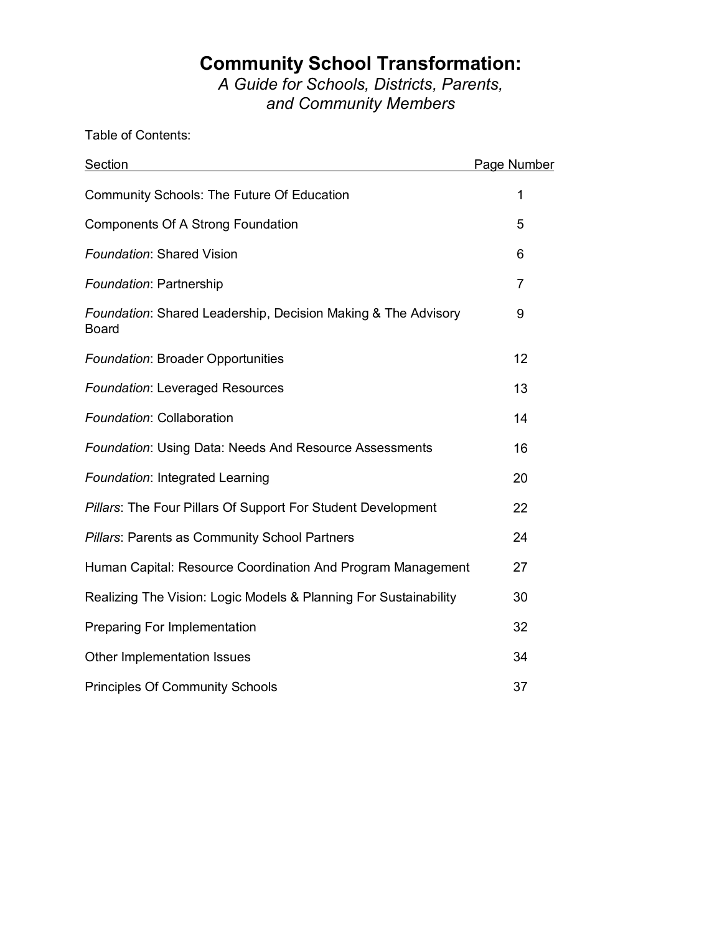## **Community School Transformation:**

*A Guide for Schools, Districts, Parents, and Community Members* 

Table of Contents:

| <b>Section</b>                                                                | Page Number    |
|-------------------------------------------------------------------------------|----------------|
| <b>Community Schools: The Future Of Education</b>                             | 1              |
| Components Of A Strong Foundation                                             | 5              |
| <b>Foundation: Shared Vision</b>                                              | 6              |
| Foundation: Partnership                                                       | $\overline{7}$ |
| Foundation: Shared Leadership, Decision Making & The Advisory<br><b>Board</b> | 9              |
| <b>Foundation: Broader Opportunities</b>                                      | 12             |
| <b>Foundation: Leveraged Resources</b>                                        | 13             |
| Foundation: Collaboration                                                     | 14             |
| <b>Foundation: Using Data: Needs And Resource Assessments</b>                 | 16             |
| Foundation: Integrated Learning                                               | 20             |
| Pillars: The Four Pillars Of Support For Student Development                  | 22             |
| Pillars: Parents as Community School Partners                                 | 24             |
| Human Capital: Resource Coordination And Program Management                   | 27             |
| Realizing The Vision: Logic Models & Planning For Sustainability              | 30             |
| Preparing For Implementation                                                  | 32             |
| Other Implementation Issues                                                   | 34             |
| <b>Principles Of Community Schools</b>                                        | 37             |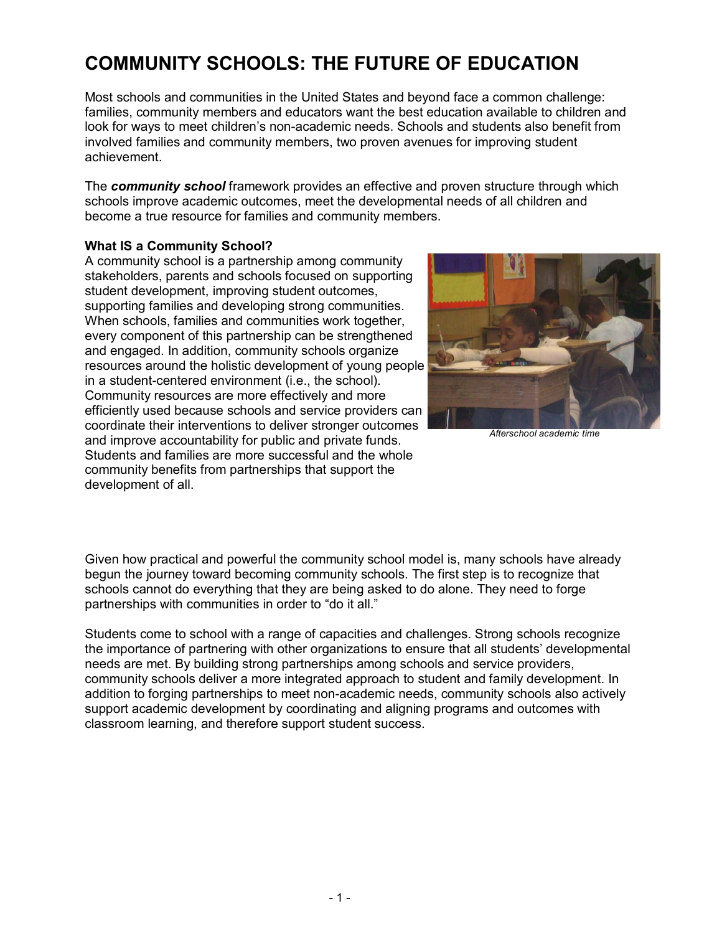## **COMMUNITY SCHOOLS: THE FUTURE OF EDUCATION**

Most schools and communities in the United States and beyond face a common challenge: families, community members and educators want the best education available to children and look for ways to meet children's non-academic needs. Schools and students also benefit from involved families and community members, two proven avenues for improving student achievement.

The *community school* framework provides an effective and proven structure through which schools improve academic outcomes, meet the developmental needs of all children and become a true resource for families and community members.

### **What IS a Community School?**

A community school is a partnership among community stakeholders, parents and schools focused on supporting student development, improving student outcomes, supporting families and developing strong communities. When schools, families and communities work together, every component of this partnership can be strengthened and engaged. In addition, community schools organize resources around the holistic development of young people in a student-centered environment (i.e., the school). Community resources are more effectively and more efficiently used because schools and service providers can coordinate their interventions to deliver stronger outcomes and improve accountability for public and private funds. Students and families are more successful and the whole community benefits from partnerships that support the development of all.



*Afterschool academic time*

Given how practical and powerful the community school model is, many schools have already begun the journey toward becoming community schools. The first step is to recognize that schools cannot do everything that they are being asked to do alone. They need to forge partnerships with communities in order to "do it all."

Students come to school with a range of capacities and challenges. Strong schools recognize the importance of partnering with other organizations to ensure that all students' developmental needs are met. By building strong partnerships among schools and service providers, community schools deliver a more integrated approach to student and family development. In addition to forging partnerships to meet non-academic needs, community schools also actively support academic development by coordinating and aligning programs and outcomes with classroom learning, and therefore support student success.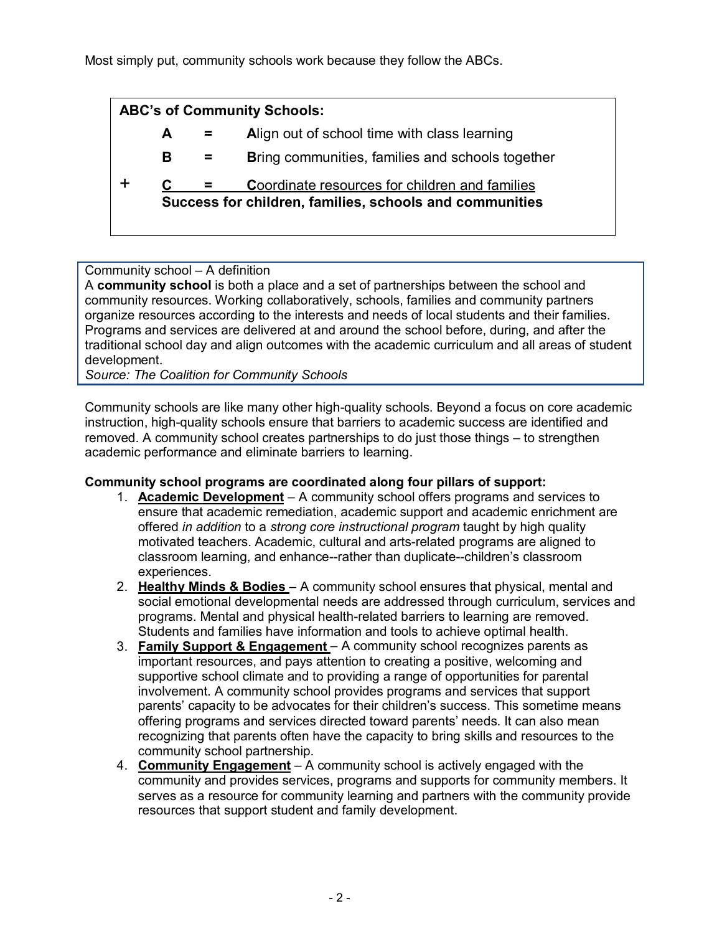Most simply put, community schools work because they follow the ABCs.

| <b>ABC's of Community Schools:</b>                      |   |  |                                                         |  |  |
|---------------------------------------------------------|---|--|---------------------------------------------------------|--|--|
|                                                         | A |  | Align out of school time with class learning            |  |  |
|                                                         | В |  | <b>Bring communities, families and schools together</b> |  |  |
|                                                         |   |  | <b>Coordinate resources for children and families</b>   |  |  |
| Success for children, families, schools and communities |   |  |                                                         |  |  |
|                                                         |   |  |                                                         |  |  |

## Community school  $-$  A definition

A **community school** is both a place and a set of partnerships between the school and community resources. Working collaboratively, schools, families and community partners organize resources according to the interests and needs of local students and their families. Programs and services are delivered at and around the school before, during, and after the traditional school day and align outcomes with the academic curriculum and all areas of student development.

*Source: The Coalition for Community Schools*

Community schools are like many other high-quality schools. Beyond a focus on core academic instruction, high-quality schools ensure that barriers to academic success are identified and removed. A community school creates partnerships to do just those things – to strengthen academic performance and eliminate barriers to learning.

## **Community school programs are coordinated along four pillars of support:**

- 1. **Academic Development** A community school offers programs and services to ensure that academic remediation, academic support and academic enrichment are offered *in addition* to a *strong core instructional program* taught by high quality motivated teachers. Academic, cultural and arts-related programs are aligned to classroom learning, and enhance--rather than duplicate--childrenís classroom experiences.
- 2. **Healthy Minds & Bodies** A community school ensures that physical, mental and social emotional developmental needs are addressed through curriculum, services and programs. Mental and physical health-related barriers to learning are removed. Students and families have information and tools to achieve optimal health.
- 3. **Family Support & Engagement** A community school recognizes parents as important resources, and pays attention to creating a positive, welcoming and supportive school climate and to providing a range of opportunities for parental involvement. A community school provides programs and services that support parents' capacity to be advocates for their children's success. This sometime means offering programs and services directed toward parentsí needs. It can also mean recognizing that parents often have the capacity to bring skills and resources to the community school partnership.
- 4. **Community Engagement** A community school is actively engaged with the community and provides services, programs and supports for community members. It serves as a resource for community learning and partners with the community provide resources that support student and family development.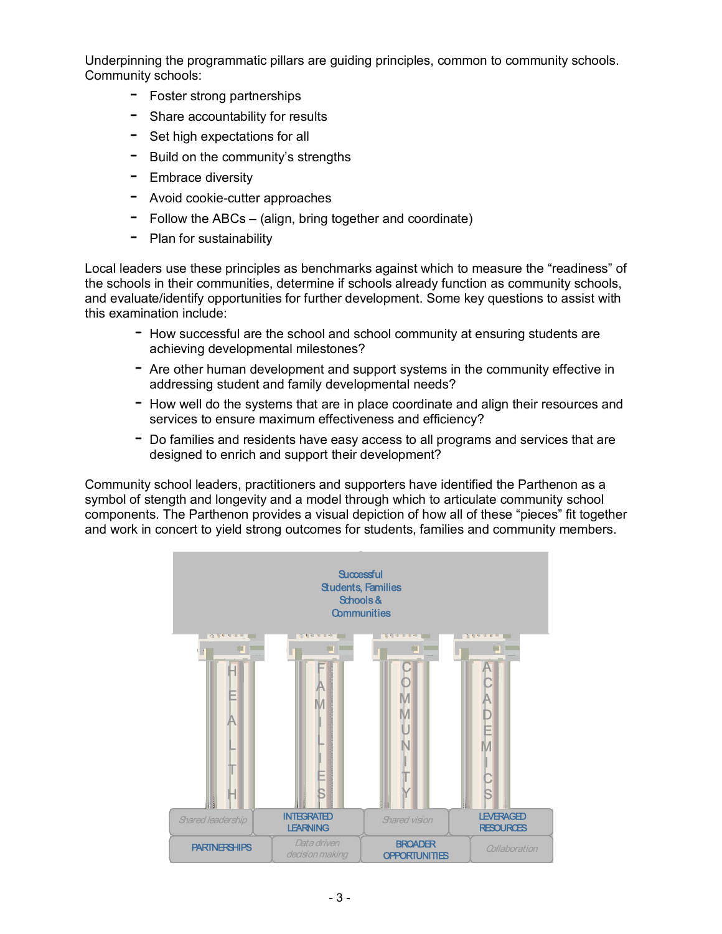Underpinning the programmatic pillars are guiding principles, common to community schools. Community schools:

- Foster strong partnerships
- Share accountability for results
- $-$  Set high expectations for all
- $-$  Build on the community's strengths
- $-$  Embrace diversity
- $-$  Avoid cookie-cutter approaches
- $-$  Follow the ABCs (align, bring together and coordinate)
- $-$  Plan for sustainability

Local leaders use these principles as benchmarks against which to measure the "readiness" of the schools in their communities, determine if schools already function as community schools, and evaluate/identify opportunities for further development. Some key questions to assist with this examination include:

- $-$  How successful are the school and school community at ensuring students are achieving developmental milestones?
- $-$  Are other human development and support systems in the community effective in addressing student and family developmental needs?
- $-$  How well do the systems that are in place coordinate and align their resources and services to ensure maximum effectiveness and efficiency?
- $-$  Do families and residents have easy access to all programs and services that are designed to enrich and support their development?

Community school leaders, practitioners and supporters have identified the Parthenon as a symbol of stength and longevity and a model through which to articulate community school components. The Parthenon provides a visual depiction of how all of these "pieces" fit together and work in concert to yield strong outcomes for students, families and community members.

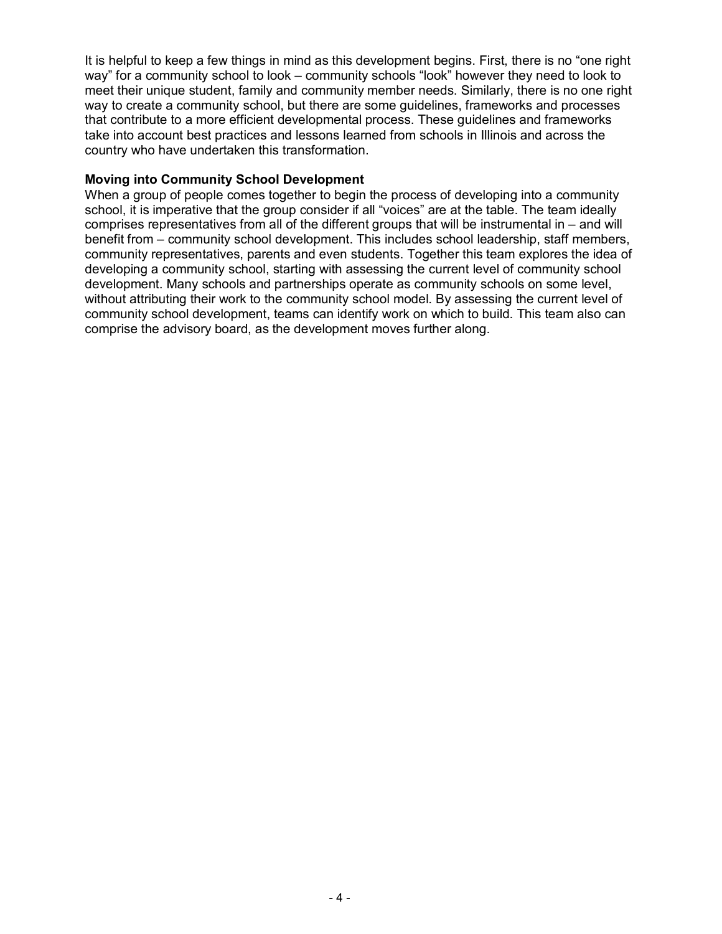It is helpful to keep a few things in mind as this development begins. First, there is no "one right way" for a community school to look – community schools "look" however they need to look to meet their unique student, family and community member needs. Similarly, there is no one right way to create a community school, but there are some guidelines, frameworks and processes that contribute to a more efficient developmental process. These guidelines and frameworks take into account best practices and lessons learned from schools in Illinois and across the country who have undertaken this transformation.

#### **Moving into Community School Development**

When a group of people comes together to begin the process of developing into a community school, it is imperative that the group consider if all "voices" are at the table. The team ideally comprises representatives from all of the different groups that will be instrumental in  $-$  and will benefit from  $-$  community school development. This includes school leadership, staff members, community representatives, parents and even students. Together this team explores the idea of developing a community school, starting with assessing the current level of community school development. Many schools and partnerships operate as community schools on some level, without attributing their work to the community school model. By assessing the current level of community school development, teams can identify work on which to build. This team also can comprise the advisory board, as the development moves further along.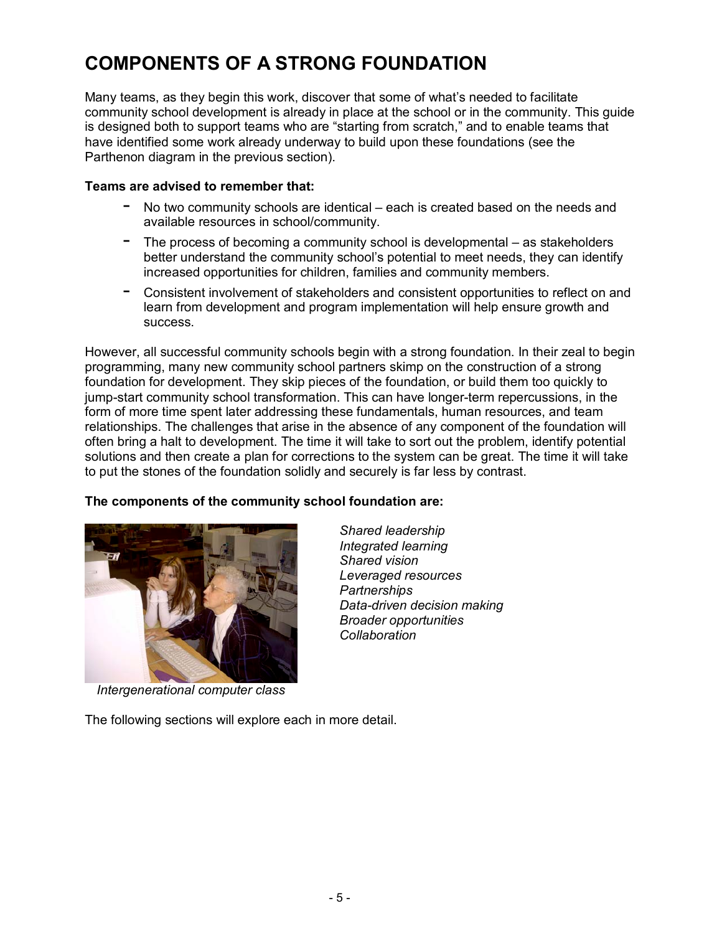## **COMPONENTS OF A STRONG FOUNDATION**

Many teams, as they begin this work, discover that some of what's needed to facilitate community school development is already in place at the school or in the community. This guide is designed both to support teams who are "starting from scratch," and to enable teams that have identified some work already underway to build upon these foundations (see the Parthenon diagram in the previous section).

#### **Teams are advised to remember that:**

- No two community schools are identical  $-$  each is created based on the needs and available resources in school/community.
- $-$  The process of becoming a community school is developmental  $-$  as stakeholders better understand the community schoolís potential to meet needs, they can identify increased opportunities for children, families and community members.
- Consistent involvement of stakeholders and consistent opportunities to reflect on and learn from development and program implementation will help ensure growth and success.

However, all successful community schools begin with a strong foundation. In their zeal to begin programming, many new community school partners skimp on the construction of a strong foundation for development. They skip pieces of the foundation, or build them too quickly to jump-start community school transformation. This can have longer-term repercussions, in the form of more time spent later addressing these fundamentals, human resources, and team relationships. The challenges that arise in the absence of any component of the foundation will often bring a halt to development. The time it will take to sort out the problem, identify potential solutions and then create a plan for corrections to the system can be great. The time it will take to put the stones of the foundation solidly and securely is far less by contrast.

> *Shared leadership Integrated learning Shared vision*

*Partnerships* 

*Collaboration*

*Leveraged resources* 

*Broader opportunities* 

*Data-driven decision making* 

### **The components of the community school foundation are:**



*Intergenerational computer class* 

The following sections will explore each in more detail.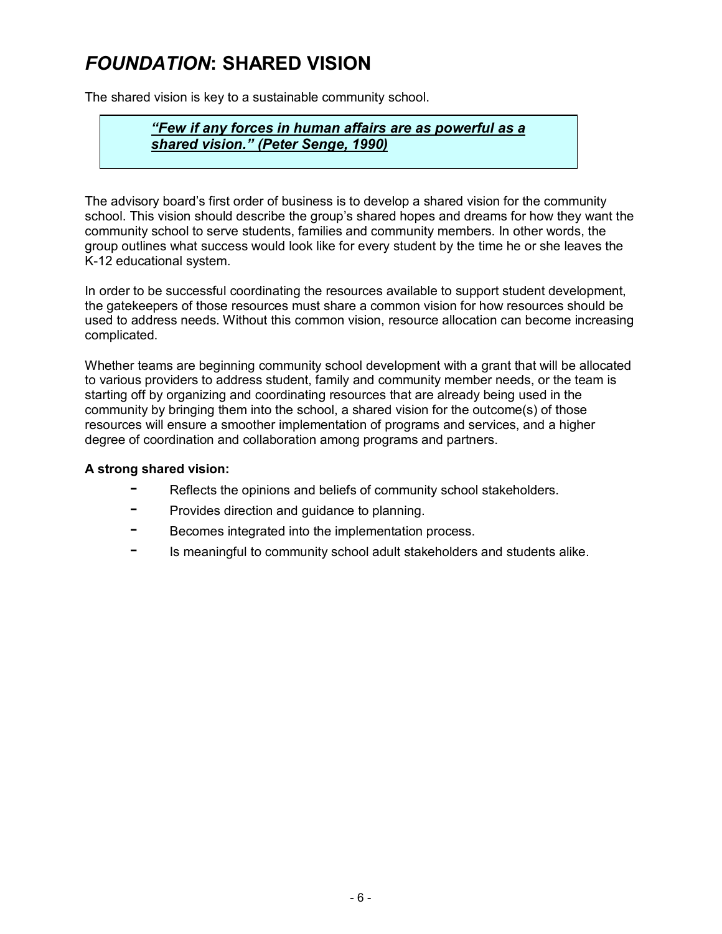## *FOUNDATION***: SHARED VISION**

The shared vision is key to a sustainable community school.

## *ìFew if any forces in human affairs are as powerful as a shared vision.î (Peter Senge, 1990)*

The advisory board's first order of business is to develop a shared vision for the community school. This vision should describe the group's shared hopes and dreams for how they want the community school to serve students, families and community members. In other words, the group outlines what success would look like for every student by the time he or she leaves the K-12 educational system.

In order to be successful coordinating the resources available to support student development, the gatekeepers of those resources must share a common vision for how resources should be used to address needs. Without this common vision, resource allocation can become increasing complicated.

Whether teams are beginning community school development with a grant that will be allocated to various providers to address student, family and community member needs, or the team is starting off by organizing and coordinating resources that are already being used in the community by bringing them into the school, a shared vision for the outcome(s) of those resources will ensure a smoother implementation of programs and services, and a higher degree of coordination and collaboration among programs and partners.

### **A strong shared vision:**

- Reflects the opinions and beliefs of community school stakeholders.
- Provides direction and quidance to planning.
- Becomes integrated into the implementation process.
- Is meaningful to community school adult stakeholders and students alike.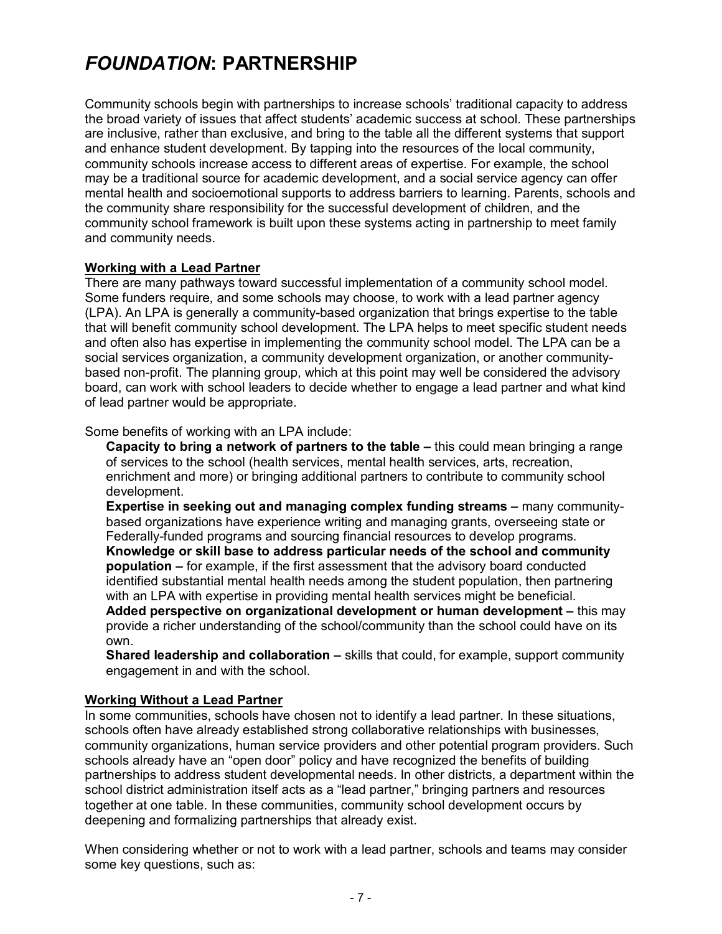## *FOUNDATION***: PARTNERSHIP**

Community schools begin with partnerships to increase schoolsí traditional capacity to address the broad variety of issues that affect studentsí academic success at school. These partnerships are inclusive, rather than exclusive, and bring to the table all the different systems that support and enhance student development. By tapping into the resources of the local community, community schools increase access to different areas of expertise. For example, the school may be a traditional source for academic development, and a social service agency can offer mental health and socioemotional supports to address barriers to learning. Parents, schools and the community share responsibility for the successful development of children, and the community school framework is built upon these systems acting in partnership to meet family and community needs.

### **Working with a Lead Partner**

There are many pathways toward successful implementation of a community school model. Some funders require, and some schools may choose, to work with a lead partner agency (LPA). An LPA is generally a community-based organization that brings expertise to the table that will benefit community school development. The LPA helps to meet specific student needs and often also has expertise in implementing the community school model. The LPA can be a social services organization, a community development organization, or another communitybased non-profit. The planning group, which at this point may well be considered the advisory board, can work with school leaders to decide whether to engage a lead partner and what kind of lead partner would be appropriate.

Some benefits of working with an LPA include:

**Capacity to bring a network of partners to the table** – this could mean bringing a range of services to the school (health services, mental health services, arts, recreation, enrichment and more) or bringing additional partners to contribute to community school development.

**Expertise in seeking out and managing complex funding streams – many community**based organizations have experience writing and managing grants, overseeing state or Federally-funded programs and sourcing financial resources to develop programs. **Knowledge or skill base to address particular needs of the school and community population –** for example, if the first assessment that the advisory board conducted identified substantial mental health needs among the student population, then partnering with an LPA with expertise in providing mental health services might be beneficial.

**Added perspective on organizational development or human development – this may** provide a richer understanding of the school/community than the school could have on its own.

**Shared leadership and collaboration** – skills that could, for example, support community engagement in and with the school.

### **Working Without a Lead Partner**

In some communities, schools have chosen not to identify a lead partner. In these situations, schools often have already established strong collaborative relationships with businesses, community organizations, human service providers and other potential program providers. Such schools already have an "open door" policy and have recognized the benefits of building partnerships to address student developmental needs. In other districts, a department within the school district administration itself acts as a "lead partner," bringing partners and resources together at one table. In these communities, community school development occurs by deepening and formalizing partnerships that already exist.

When considering whether or not to work with a lead partner, schools and teams may consider some key questions, such as: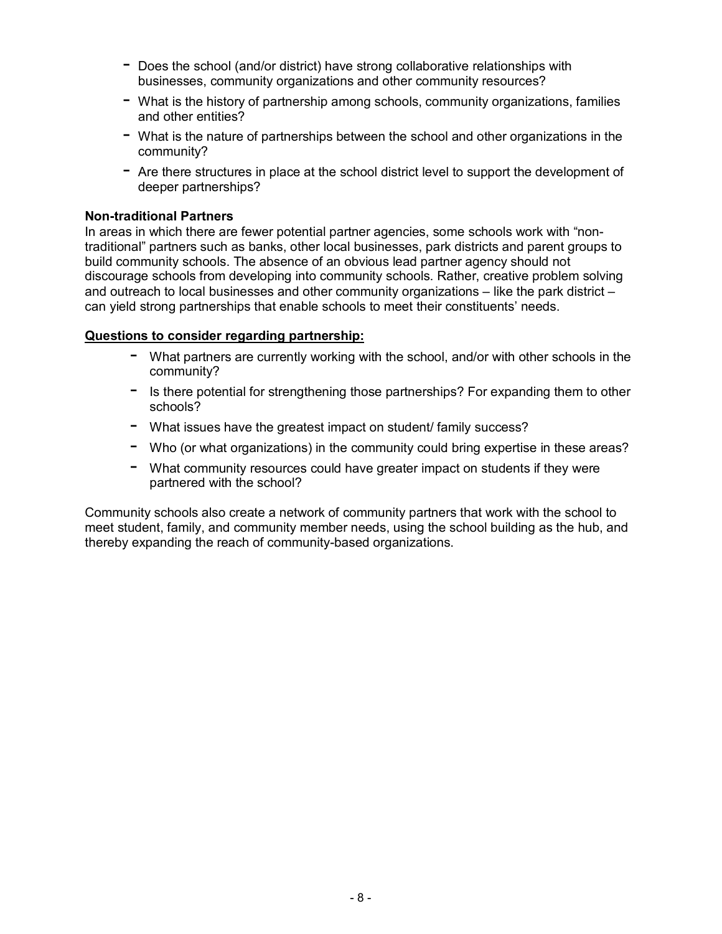- $-$  Does the school (and/or district) have strong collaborative relationships with businesses, community organizations and other community resources?
- $-$  What is the history of partnership among schools, community organizations, families and other entities?
- $-$  What is the nature of partnerships between the school and other organizations in the community?
- $-$  Are there structures in place at the school district level to support the development of deeper partnerships?

#### **Non-traditional Partners**

In areas in which there are fewer potential partner agencies, some schools work with "nontraditionalî partners such as banks, other local businesses, park districts and parent groups to build community schools. The absence of an obvious lead partner agency should not discourage schools from developing into community schools. Rather, creative problem solving and outreach to local businesses and other community organizations  $-$  like the park district  $$ can yield strong partnerships that enable schools to meet their constituentsí needs.

### **Questions to consider regarding partnership:**

- What partners are currently working with the school, and/or with other schools in the community?
- $-$  Is there potential for strengthening those partnerships? For expanding them to other schools?
- $-$  What issues have the greatest impact on student/ family success?
- $-$  Who (or what organizations) in the community could bring expertise in these areas?
- What community resources could have greater impact on students if they were partnered with the school?

Community schools also create a network of community partners that work with the school to meet student, family, and community member needs, using the school building as the hub, and thereby expanding the reach of community-based organizations.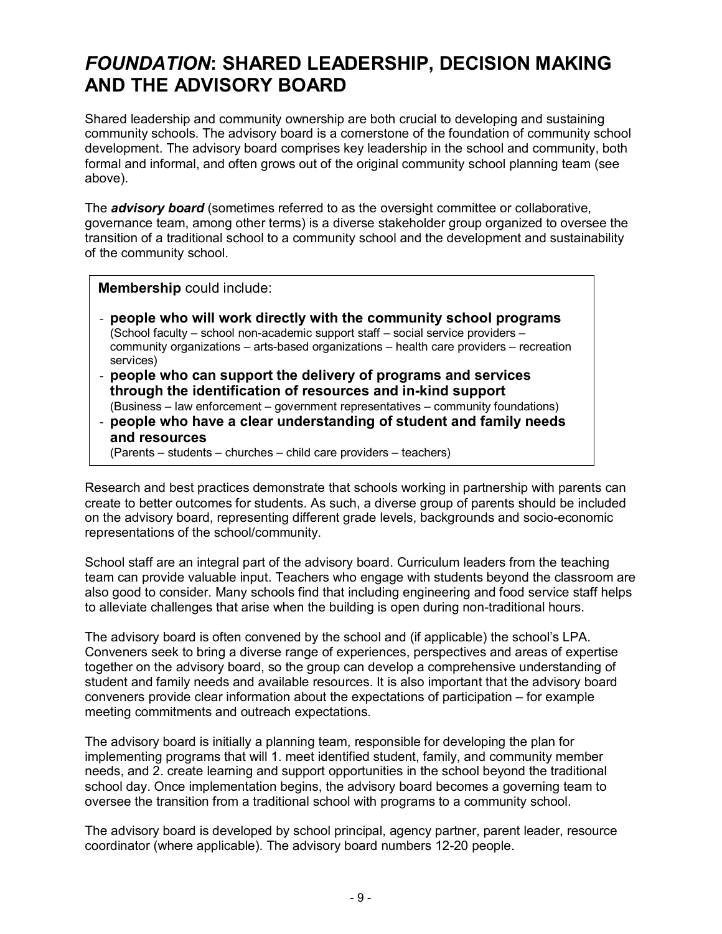## *FOUNDATION***: SHARED LEADERSHIP, DECISION MAKING AND THE ADVISORY BOARD**

Shared leadership and community ownership are both crucial to developing and sustaining community schools. The advisory board is a cornerstone of the foundation of community school development. The advisory board comprises key leadership in the school and community, both formal and informal, and often grows out of the original community school planning team (see above).

The *advisory board* (sometimes referred to as the oversight committee or collaborative, governance team, among other terms) is a diverse stakeholder group organized to oversee the transition of a traditional school to a community school and the development and sustainability of the community school.

**Membership** could include:

- **people who will work directly with the community school programs**  (School faculty  $-$  school non-academic support staff  $-$  social service providers  $$ community organizations  $-$  arts-based organizations  $-$  health care providers  $-$  recreation services)
- **people who can support the delivery of programs and services through the identification of resources and in-kind support**   $(Business – law enforcement – government representatives – community foundations)$
- **people who have a clear understanding of student and family needs and resources**
	- (Parents students churches child care providers teachers)

Research and best practices demonstrate that schools working in partnership with parents can create to better outcomes for students. As such, a diverse group of parents should be included on the advisory board, representing different grade levels, backgrounds and socio-economic representations of the school/community.

School staff are an integral part of the advisory board. Curriculum leaders from the teaching team can provide valuable input. Teachers who engage with students beyond the classroom are also good to consider. Many schools find that including engineering and food service staff helps to alleviate challenges that arise when the building is open during non-traditional hours.

The advisory board is often convened by the school and (if applicable) the schoolís LPA. Conveners seek to bring a diverse range of experiences, perspectives and areas of expertise together on the advisory board, so the group can develop a comprehensive understanding of student and family needs and available resources. It is also important that the advisory board conveners provide clear information about the expectations of participation  $-$  for example meeting commitments and outreach expectations.

The advisory board is initially a planning team, responsible for developing the plan for implementing programs that will 1. meet identified student, family, and community member needs, and 2. create learning and support opportunities in the school beyond the traditional school day. Once implementation begins, the advisory board becomes a governing team to oversee the transition from a traditional school with programs to a community school.

The advisory board is developed by school principal, agency partner, parent leader, resource coordinator (where applicable). The advisory board numbers 12-20 people.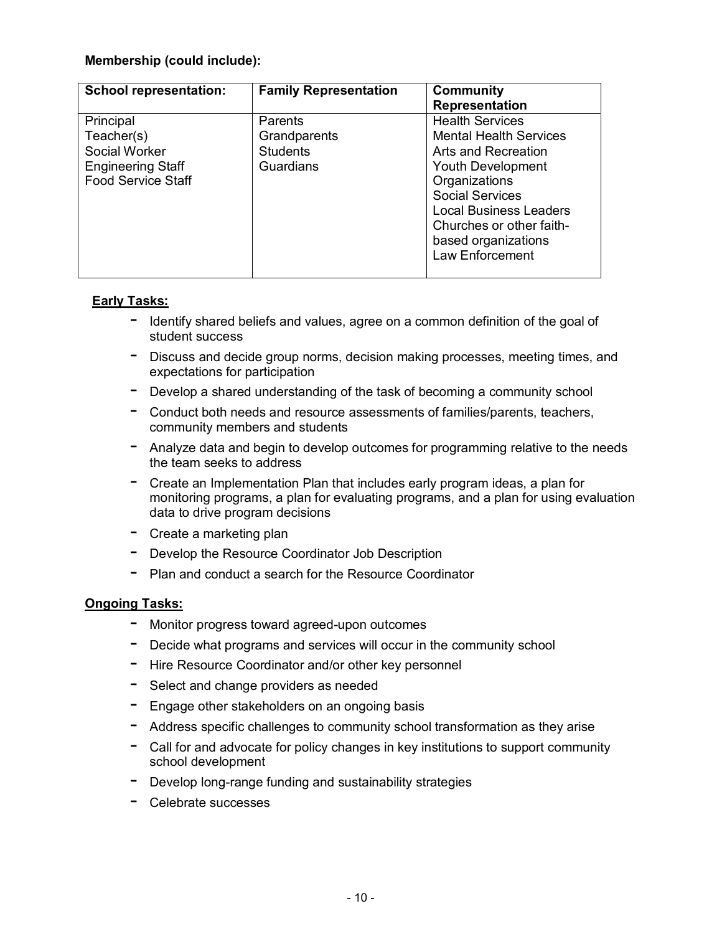### **Membership (could include):**

| <b>School representation:</b> | <b>Family Representation</b> | <b>Community</b>              |
|-------------------------------|------------------------------|-------------------------------|
|                               |                              | <b>Representation</b>         |
| Principal                     | Parents                      | <b>Health Services</b>        |
| Teacher(s)                    | Grandparents                 | <b>Mental Health Services</b> |
| Social Worker                 | <b>Students</b>              | Arts and Recreation           |
| <b>Engineering Staff</b>      | Guardians                    | Youth Development             |
| <b>Food Service Staff</b>     |                              | Organizations                 |
|                               |                              | <b>Social Services</b>        |
|                               |                              | <b>Local Business Leaders</b> |
|                               |                              | Churches or other faith-      |
|                               |                              | based organizations           |
|                               |                              | Law Enforcement               |
|                               |                              |                               |

#### **Early Tasks:**

- $-$  Identify shared beliefs and values, agree on a common definition of the goal of student success
- Discuss and decide group norms, decision making processes, meeting times, and expectations for participation
- $-$  Develop a shared understanding of the task of becoming a community school
- $-$  Conduct both needs and resource assessments of families/parents, teachers, community members and students
- $-$  Analyze data and begin to develop outcomes for programming relative to the needs the team seeks to address
- $-$  Create an Implementation Plan that includes early program ideas, a plan for monitoring programs, a plan for evaluating programs, and a plan for using evaluation data to drive program decisions
- $-$  Create a marketing plan
- Develop the Resource Coordinator Job Description
- $-$  Plan and conduct a search for the Resource Coordinator

#### **Ongoing Tasks:**

- Monitor progress toward agreed-upon outcomes
- $-$  Decide what programs and services will occur in the community school
- $-$  Hire Resource Coordinator and/or other key personnel
- Select and change providers as needed
- $-$  Engage other stakeholders on an ongoing basis
- $-$  Address specific challenges to community school transformation as they arise
- $-$  Call for and advocate for policy changes in key institutions to support community school development
- Develop long-range funding and sustainability strategies
- Celebrate successes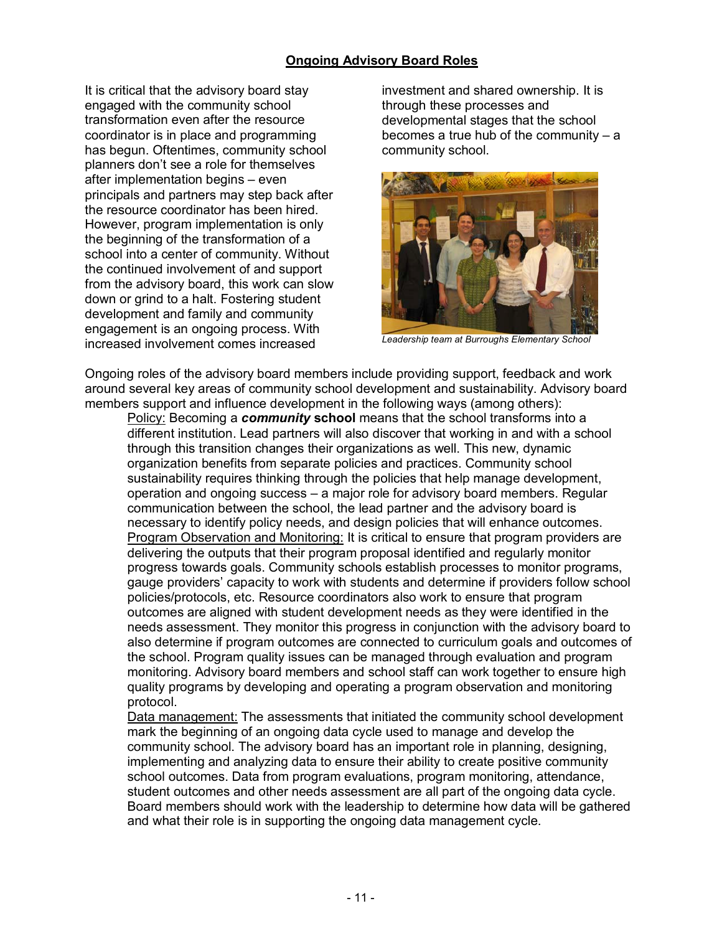#### **Ongoing Advisory Board Roles**

It is critical that the advisory board stay engaged with the community school transformation even after the resource coordinator is in place and programming has begun. Oftentimes, community school planners donít see a role for themselves after implementation begins  $-$  even principals and partners may step back after the resource coordinator has been hired. However, program implementation is only the beginning of the transformation of a school into a center of community. Without the continued involvement of and support from the advisory board, this work can slow down or grind to a halt. Fostering student development and family and community engagement is an ongoing process. With increased involvement comes increased

investment and shared ownership. It is through these processes and developmental stages that the school becomes a true hub of the community  $- a$ community school.



*Leadership team at Burroughs Elementary School*

Ongoing roles of the advisory board members include providing support, feedback and work around several key areas of community school development and sustainability. Advisory board members support and influence development in the following ways (among others):

Policy: Becoming a *community* **school** means that the school transforms into a different institution. Lead partners will also discover that working in and with a school through this transition changes their organizations as well. This new, dynamic organization benefits from separate policies and practices. Community school sustainability requires thinking through the policies that help manage development, operation and ongoing success  $-$  a major role for advisory board members. Regular communication between the school, the lead partner and the advisory board is necessary to identify policy needs, and design policies that will enhance outcomes. Program Observation and Monitoring: It is critical to ensure that program providers are delivering the outputs that their program proposal identified and regularly monitor progress towards goals. Community schools establish processes to monitor programs, gauge providersí capacity to work with students and determine if providers follow school policies/protocols, etc. Resource coordinators also work to ensure that program outcomes are aligned with student development needs as they were identified in the needs assessment. They monitor this progress in conjunction with the advisory board to also determine if program outcomes are connected to curriculum goals and outcomes of the school. Program quality issues can be managed through evaluation and program monitoring. Advisory board members and school staff can work together to ensure high quality programs by developing and operating a program observation and monitoring protocol.

Data management: The assessments that initiated the community school development mark the beginning of an ongoing data cycle used to manage and develop the community school. The advisory board has an important role in planning, designing, implementing and analyzing data to ensure their ability to create positive community school outcomes. Data from program evaluations, program monitoring, attendance, student outcomes and other needs assessment are all part of the ongoing data cycle. Board members should work with the leadership to determine how data will be gathered and what their role is in supporting the ongoing data management cycle.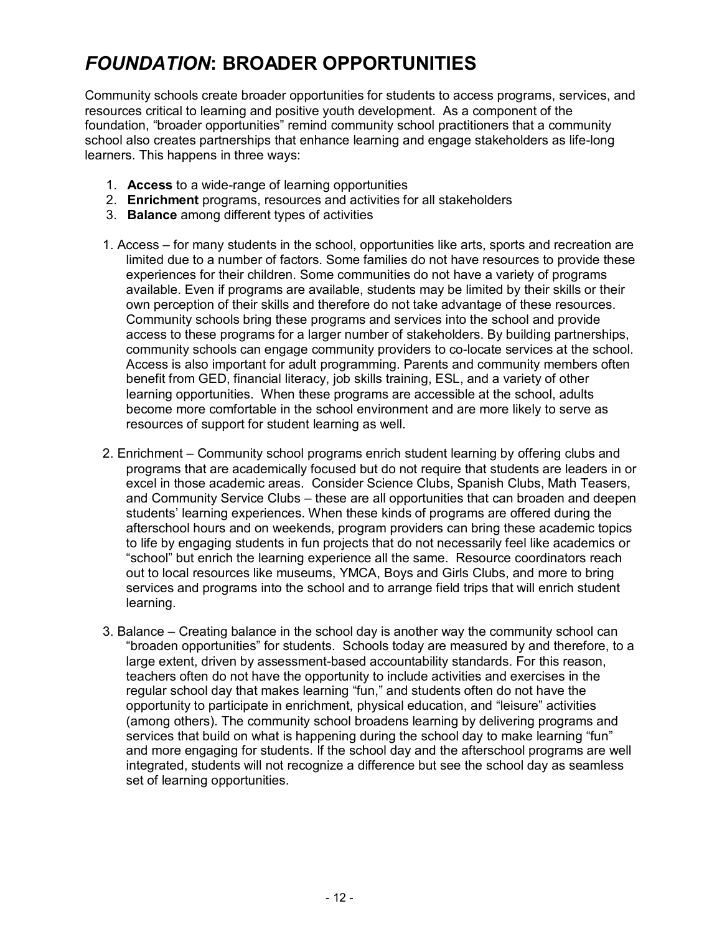## *FOUNDATION***: BROADER OPPORTUNITIES**

Community schools create broader opportunities for students to access programs, services, and resources critical to learning and positive youth development. As a component of the foundation, "broader opportunities" remind community school practitioners that a community school also creates partnerships that enhance learning and engage stakeholders as life-long learners. This happens in three ways:

- 1. **Access** to a wide-range of learning opportunities
- 2. **Enrichment** programs, resources and activities for all stakeholders
- 3. **Balance** among different types of activities
- 1. Access for many students in the school, opportunities like arts, sports and recreation are limited due to a number of factors. Some families do not have resources to provide these experiences for their children. Some communities do not have a variety of programs available. Even if programs are available, students may be limited by their skills or their own perception of their skills and therefore do not take advantage of these resources. Community schools bring these programs and services into the school and provide access to these programs for a larger number of stakeholders. By building partnerships, community schools can engage community providers to co-locate services at the school. Access is also important for adult programming. Parents and community members often benefit from GED, financial literacy, job skills training, ESL, and a variety of other learning opportunities. When these programs are accessible at the school, adults become more comfortable in the school environment and are more likely to serve as resources of support for student learning as well.
- 2. Enrichment Community school programs enrich student learning by offering clubs and programs that are academically focused but do not require that students are leaders in or excel in those academic areas. Consider Science Clubs, Spanish Clubs, Math Teasers, and Community Service Clubs – these are all opportunities that can broaden and deepen studentsí learning experiences. When these kinds of programs are offered during the afterschool hours and on weekends, program providers can bring these academic topics to life by engaging students in fun projects that do not necessarily feel like academics or ìschoolî but enrich the learning experience all the same. Resource coordinators reach out to local resources like museums, YMCA, Boys and Girls Clubs, and more to bring services and programs into the school and to arrange field trips that will enrich student learning.
- 3. Balance Creating balance in the school day is another way the community school can ìbroaden opportunitiesî for students. Schools today are measured by and therefore, to a large extent, driven by assessment-based accountability standards. For this reason, teachers often do not have the opportunity to include activities and exercises in the regular school day that makes learning "fun," and students often do not have the opportunity to participate in enrichment, physical education, and "leisure" activities (among others). The community school broadens learning by delivering programs and services that build on what is happening during the school day to make learning "fun" and more engaging for students. If the school day and the afterschool programs are well integrated, students will not recognize a difference but see the school day as seamless set of learning opportunities.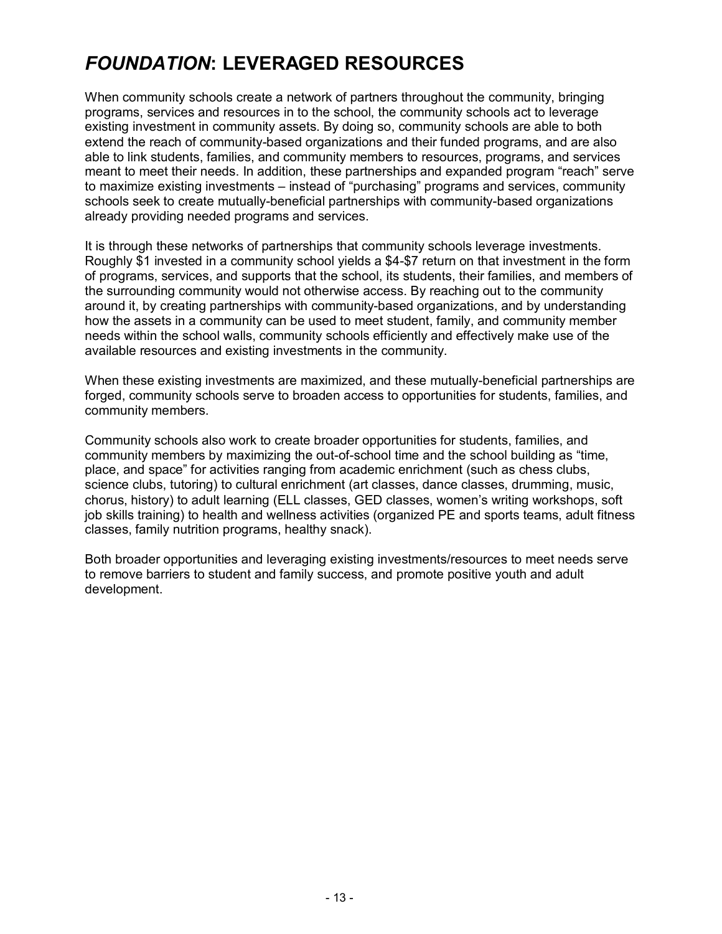## *FOUNDATION***: LEVERAGED RESOURCES**

When community schools create a network of partners throughout the community, bringing programs, services and resources in to the school, the community schools act to leverage existing investment in community assets. By doing so, community schools are able to both extend the reach of community-based organizations and their funded programs, and are also able to link students, families, and community members to resources, programs, and services meant to meet their needs. In addition, these partnerships and expanded program "reach" serve to maximize existing investments – instead of "purchasing" programs and services, community schools seek to create mutually-beneficial partnerships with community-based organizations already providing needed programs and services.

It is through these networks of partnerships that community schools leverage investments. Roughly \$1 invested in a community school yields a \$4-\$7 return on that investment in the form of programs, services, and supports that the school, its students, their families, and members of the surrounding community would not otherwise access. By reaching out to the community around it, by creating partnerships with community-based organizations, and by understanding how the assets in a community can be used to meet student, family, and community member needs within the school walls, community schools efficiently and effectively make use of the available resources and existing investments in the community.

When these existing investments are maximized, and these mutually-beneficial partnerships are forged, community schools serve to broaden access to opportunities for students, families, and community members.

Community schools also work to create broader opportunities for students, families, and community members by maximizing the out-of-school time and the school building as "time, place, and spaceî for activities ranging from academic enrichment (such as chess clubs, science clubs, tutoring) to cultural enrichment (art classes, dance classes, drumming, music, chorus, history) to adult learning (ELL classes, GED classes, women's writing workshops, soft job skills training) to health and wellness activities (organized PE and sports teams, adult fitness classes, family nutrition programs, healthy snack).

Both broader opportunities and leveraging existing investments/resources to meet needs serve to remove barriers to student and family success, and promote positive youth and adult development.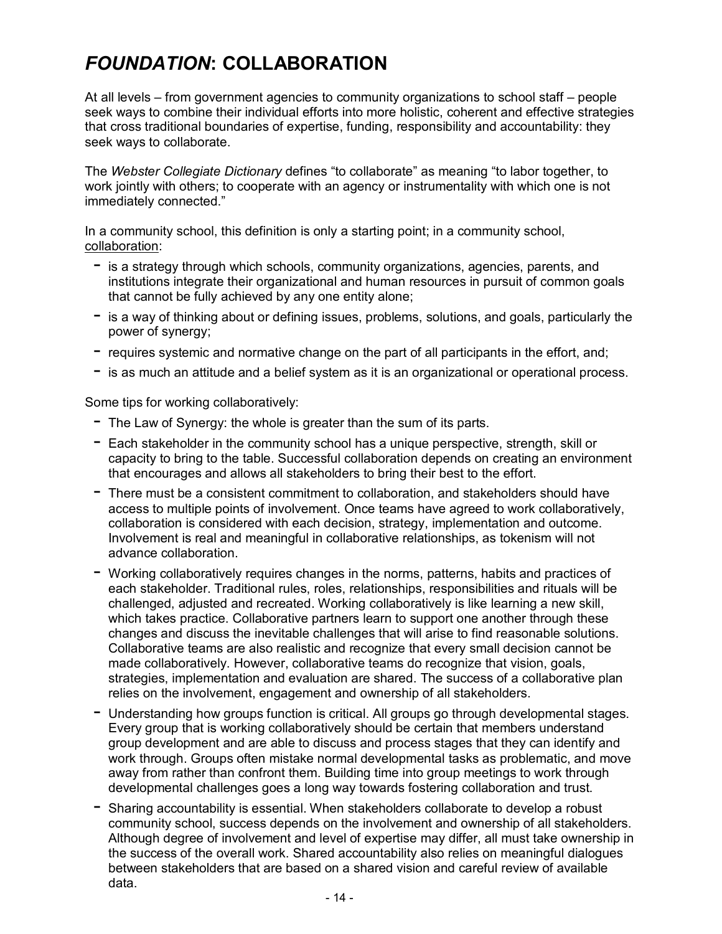## *FOUNDATION***: COLLABORATION**

At all levels  $-$  from government agencies to community organizations to school staff  $-$  people seek ways to combine their individual efforts into more holistic, coherent and effective strategies that cross traditional boundaries of expertise, funding, responsibility and accountability: they seek ways to collaborate.

The *Webster Collegiate Dictionary* defines "to collaborate" as meaning "to labor together, to work jointly with others; to cooperate with an agency or instrumentality with which one is not immediately connected."

In a community school, this definition is only a starting point; in a community school, collaboration:

- $-$  is a strategy through which schools, community organizations, agencies, parents, and institutions integrate their organizational and human resources in pursuit of common goals that cannot be fully achieved by any one entity alone;
- $-$  is a way of thinking about or defining issues, problems, solutions, and goals, particularly the power of synergy;
- $-$  requires systemic and normative change on the part of all participants in the effort, and;
- $-$  is as much an attitude and a belief system as it is an organizational or operational process.

Some tips for working collaboratively:

- $-$  The Law of Synergy: the whole is greater than the sum of its parts.
- $-$  Each stakeholder in the community school has a unique perspective, strength, skill or capacity to bring to the table. Successful collaboration depends on creating an environment that encourages and allows all stakeholders to bring their best to the effort.
- $-$  There must be a consistent commitment to collaboration, and stakeholders should have access to multiple points of involvement. Once teams have agreed to work collaboratively, collaboration is considered with each decision, strategy, implementation and outcome. Involvement is real and meaningful in collaborative relationships, as tokenism will not advance collaboration.
- Working collaboratively requires changes in the norms, patterns, habits and practices of each stakeholder. Traditional rules, roles, relationships, responsibilities and rituals will be challenged, adjusted and recreated. Working collaboratively is like learning a new skill, which takes practice. Collaborative partners learn to support one another through these changes and discuss the inevitable challenges that will arise to find reasonable solutions. Collaborative teams are also realistic and recognize that every small decision cannot be made collaboratively. However, collaborative teams do recognize that vision, goals, strategies, implementation and evaluation are shared. The success of a collaborative plan relies on the involvement, engagement and ownership of all stakeholders.
- Understanding how groups function is critical. All groups go through developmental stages. Every group that is working collaboratively should be certain that members understand group development and are able to discuss and process stages that they can identify and work through. Groups often mistake normal developmental tasks as problematic, and move away from rather than confront them. Building time into group meetings to work through developmental challenges goes a long way towards fostering collaboration and trust.
- $-$  Sharing accountability is essential. When stakeholders collaborate to develop a robust community school, success depends on the involvement and ownership of all stakeholders. Although degree of involvement and level of expertise may differ, all must take ownership in the success of the overall work. Shared accountability also relies on meaningful dialogues between stakeholders that are based on a shared vision and careful review of available data.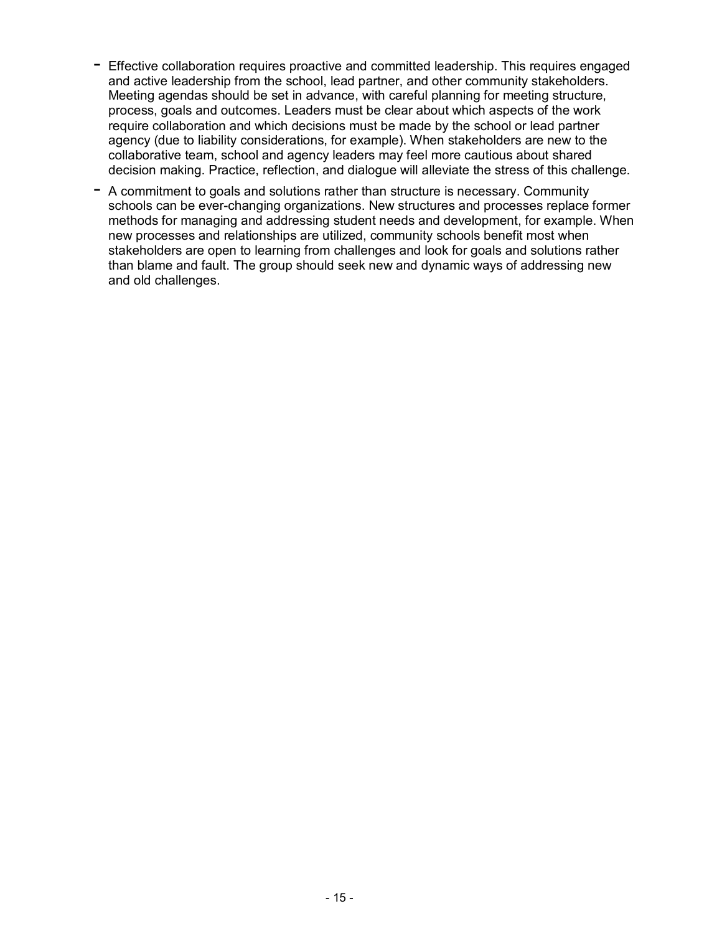- $-$  Effective collaboration requires proactive and committed leadership. This requires engaged and active leadership from the school, lead partner, and other community stakeholders. Meeting agendas should be set in advance, with careful planning for meeting structure, process, goals and outcomes. Leaders must be clear about which aspects of the work require collaboration and which decisions must be made by the school or lead partner agency (due to liability considerations, for example). When stakeholders are new to the collaborative team, school and agency leaders may feel more cautious about shared decision making. Practice, reflection, and dialogue will alleviate the stress of this challenge.
- $-$  A commitment to goals and solutions rather than structure is necessary. Community schools can be ever-changing organizations. New structures and processes replace former methods for managing and addressing student needs and development, for example. When new processes and relationships are utilized, community schools benefit most when stakeholders are open to learning from challenges and look for goals and solutions rather than blame and fault. The group should seek new and dynamic ways of addressing new and old challenges.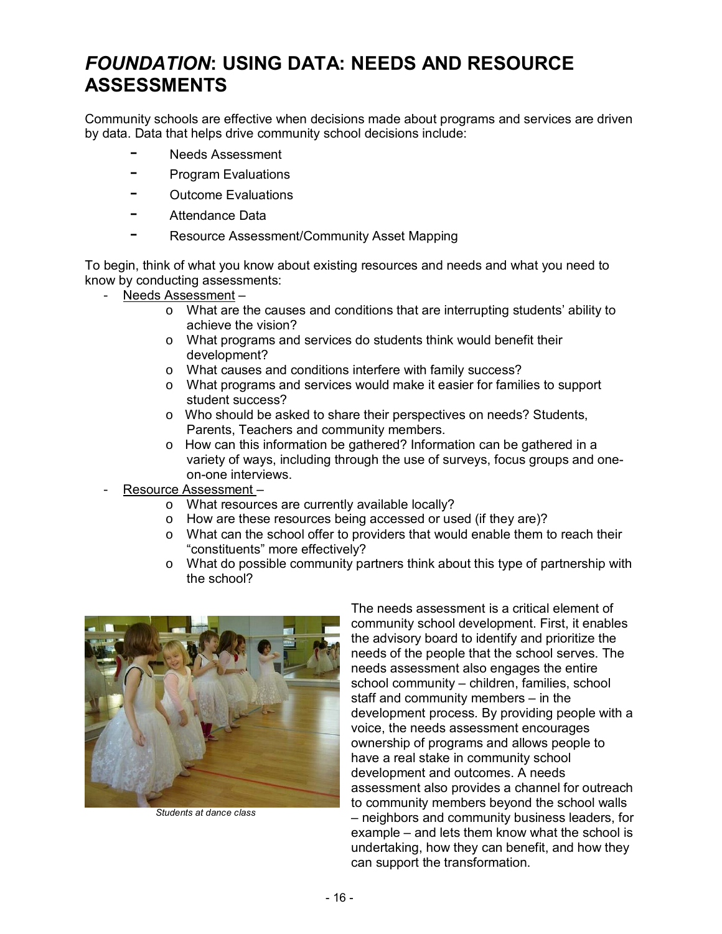## *FOUNDATION***: USING DATA: NEEDS AND RESOURCE ASSESSMENTS**

Community schools are effective when decisions made about programs and services are driven by data. Data that helps drive community school decisions include:

- Needs Assessment
- Program Evaluations
- Outcome Evaluations
- Attendance Data
- Resource Assessment/Community Asset Mapping

To begin, think of what you know about existing resources and needs and what you need to know by conducting assessments:

- Needs Assessment  $$ 
	- o What are the causes and conditions that are interrupting studentsí ability to achieve the vision?
	- o What programs and services do students think would benefit their development?
	- o What causes and conditions interfere with family success?
	- o What programs and services would make it easier for families to support student success?
	- o Who should be asked to share their perspectives on needs? Students, Parents, Teachers and community members.
	- o How can this information be gathered? Information can be gathered in a variety of ways, including through the use of surveys, focus groups and oneon-one interviews.
- Resource Assessment
	- o What resources are currently available locally?
	- o How are these resources being accessed or used (if they are)?
	- o What can the school offer to providers that would enable them to reach their "constituents" more effectively?
	- o What do possible community partners think about this type of partnership with the school?



*Students at dance class* 

The needs assessment is a critical element of community school development. First, it enables the advisory board to identify and prioritize the needs of the people that the school serves. The needs assessment also engages the entire school community - children, families, school staff and community members  $-$  in the development process. By providing people with a voice, the needs assessment encourages ownership of programs and allows people to have a real stake in community school development and outcomes. A needs assessment also provides a channel for outreach to community members beyond the school walls - neighbors and community business leaders, for example  $-$  and lets them know what the school is undertaking, how they can benefit, and how they can support the transformation.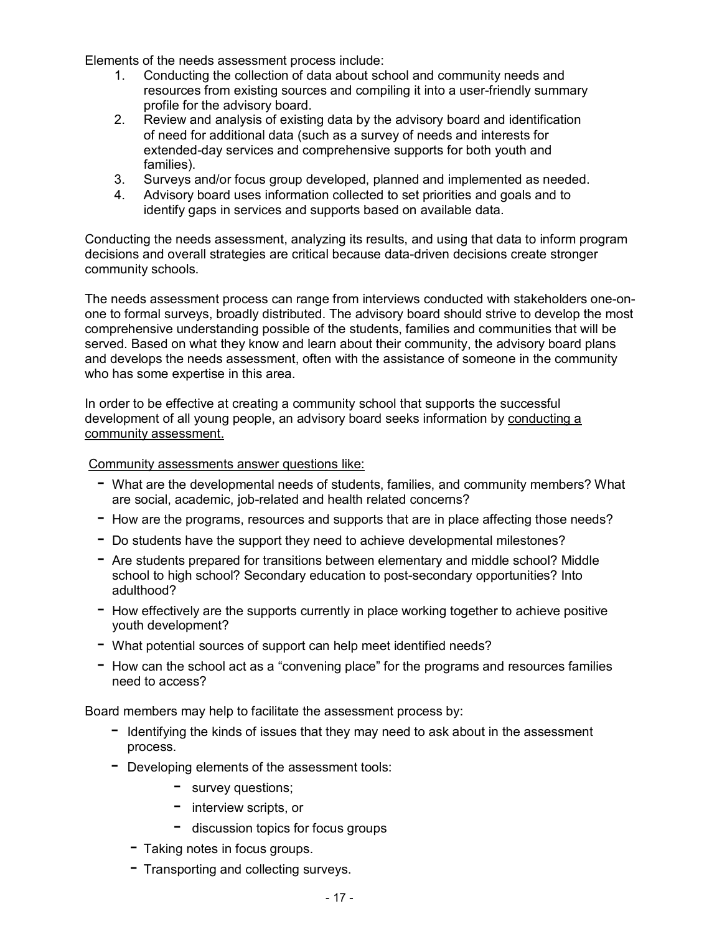Elements of the needs assessment process include:

- 1. Conducting the collection of data about school and community needs and resources from existing sources and compiling it into a user-friendly summary profile for the advisory board.
- 2. Review and analysis of existing data by the advisory board and identification of need for additional data (such as a survey of needs and interests for extended-day services and comprehensive supports for both youth and families).
- 3. Surveys and/or focus group developed, planned and implemented as needed.
- 4. Advisory board uses information collected to set priorities and goals and to identify gaps in services and supports based on available data.

Conducting the needs assessment, analyzing its results, and using that data to inform program decisions and overall strategies are critical because data-driven decisions create stronger community schools.

The needs assessment process can range from interviews conducted with stakeholders one-onone to formal surveys, broadly distributed. The advisory board should strive to develop the most comprehensive understanding possible of the students, families and communities that will be served. Based on what they know and learn about their community, the advisory board plans and develops the needs assessment, often with the assistance of someone in the community who has some expertise in this area.

In order to be effective at creating a community school that supports the successful development of all young people, an advisory board seeks information by conducting a community assessment.

Community assessments answer questions like:

- What are the developmental needs of students, families, and community members? What are social, academic, job-related and health related concerns?
- How are the programs, resources and supports that are in place affecting those needs?
- Do students have the support they need to achieve developmental milestones?
- Are students prepared for transitions between elementary and middle school? Middle school to high school? Secondary education to post-secondary opportunities? Into adulthood?
- $-$  How effectively are the supports currently in place working together to achieve positive youth development?
- What potential sources of support can help meet identified needs?
- $-$  How can the school act as a "convening place" for the programs and resources families need to access?

Board members may help to facilitate the assessment process by:

- $-$  Identifying the kinds of issues that they may need to ask about in the assessment process.
- $-$  Developing elements of the assessment tools:
	- survey questions;
	- $-$  interview scripts, or
	- $-$  discussion topics for focus groups
	- $-$  Taking notes in focus groups.
	- Transporting and collecting surveys.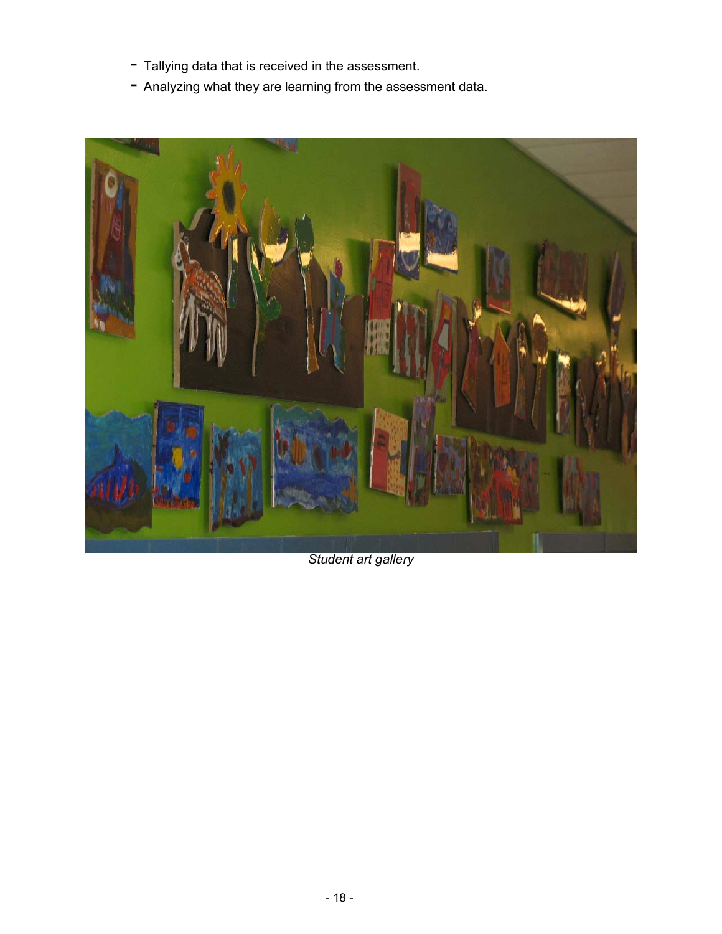- $-$  Tallying data that is received in the assessment.
- Analyzing what they are learning from the assessment data.



*Student art gallery*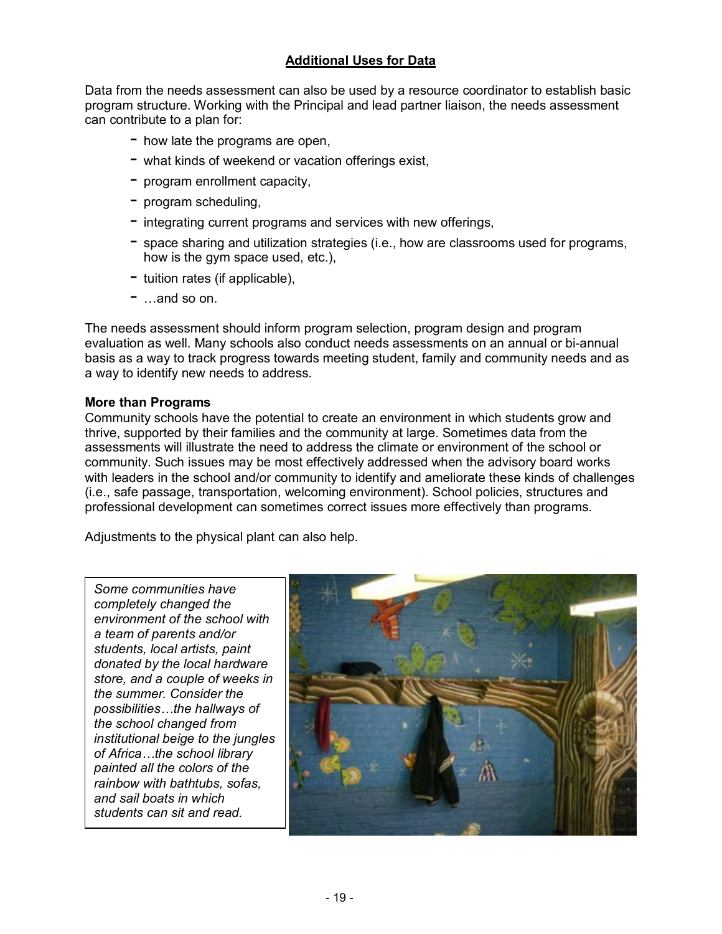## **Additional Uses for Data**

Data from the needs assessment can also be used by a resource coordinator to establish basic program structure. Working with the Principal and lead partner liaison, the needs assessment can contribute to a plan for:

- $-$  how late the programs are open,
- $-$  what kinds of weekend or vacation offerings exist,
- $-$  program enrollment capacity,
- $-$  program scheduling,
- $-$  integrating current programs and services with new offerings,
- $-$  space sharing and utilization strategies (i.e., how are classrooms used for programs, how is the gym space used, etc.),
- $-$  tuition rates (if applicable),
- $-$  ...and so on.

The needs assessment should inform program selection, program design and program evaluation as well. Many schools also conduct needs assessments on an annual or bi-annual basis as a way to track progress towards meeting student, family and community needs and as a way to identify new needs to address.

#### **More than Programs**

Community schools have the potential to create an environment in which students grow and thrive, supported by their families and the community at large. Sometimes data from the assessments will illustrate the need to address the climate or environment of the school or community. Such issues may be most effectively addressed when the advisory board works with leaders in the school and/or community to identify and ameliorate these kinds of challenges (i.e., safe passage, transportation, welcoming environment). School policies, structures and professional development can sometimes correct issues more effectively than programs.

Adjustments to the physical plant can also help.

*Some communities have completely changed the environment of the school with a team of parents and/or students, local artists, paint donated by the local hardware store, and a couple of weeks in the summer. Consider the possibilitiesÖthe hallways of the school changed from institutional beige to the jungles*  of Africa...the school library *painted all the colors of the rainbow with bathtubs, sofas, and sail boats in which students can sit and read.* 

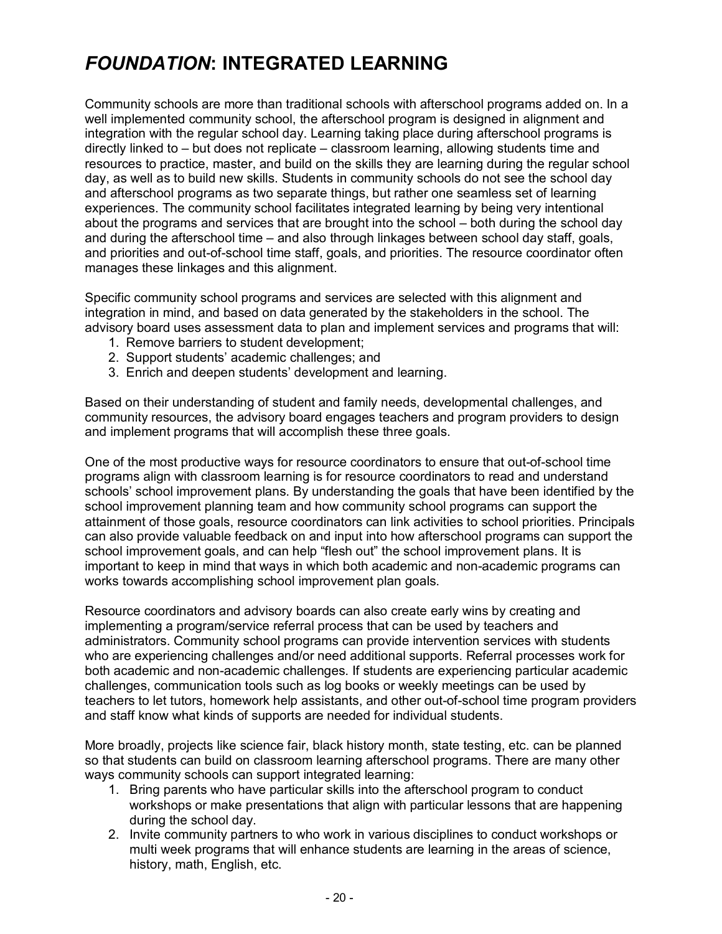## *FOUNDATION***: INTEGRATED LEARNING**

Community schools are more than traditional schools with afterschool programs added on. In a well implemented community school, the afterschool program is designed in alignment and integration with the regular school day. Learning taking place during afterschool programs is directly linked to  $-$  but does not replicate  $-$  classroom learning, allowing students time and resources to practice, master, and build on the skills they are learning during the regular school day, as well as to build new skills. Students in community schools do not see the school day and afterschool programs as two separate things, but rather one seamless set of learning experiences. The community school facilitates integrated learning by being very intentional about the programs and services that are brought into the school – both during the school day and during the afterschool time  $-$  and also through linkages between school day staff, goals, and priorities and out-of-school time staff, goals, and priorities. The resource coordinator often manages these linkages and this alignment.

Specific community school programs and services are selected with this alignment and integration in mind, and based on data generated by the stakeholders in the school. The advisory board uses assessment data to plan and implement services and programs that will:

- 1. Remove barriers to student development;
- 2. Support students' academic challenges; and
- 3. Enrich and deepen students' development and learning.

Based on their understanding of student and family needs, developmental challenges, and community resources, the advisory board engages teachers and program providers to design and implement programs that will accomplish these three goals.

One of the most productive ways for resource coordinators to ensure that out-of-school time programs align with classroom learning is for resource coordinators to read and understand schools' school improvement plans. By understanding the goals that have been identified by the school improvement planning team and how community school programs can support the attainment of those goals, resource coordinators can link activities to school priorities. Principals can also provide valuable feedback on and input into how afterschool programs can support the school improvement goals, and can help "flesh out" the school improvement plans. It is important to keep in mind that ways in which both academic and non-academic programs can works towards accomplishing school improvement plan goals.

Resource coordinators and advisory boards can also create early wins by creating and implementing a program/service referral process that can be used by teachers and administrators. Community school programs can provide intervention services with students who are experiencing challenges and/or need additional supports. Referral processes work for both academic and non-academic challenges. If students are experiencing particular academic challenges, communication tools such as log books or weekly meetings can be used by teachers to let tutors, homework help assistants, and other out-of-school time program providers and staff know what kinds of supports are needed for individual students.

More broadly, projects like science fair, black history month, state testing, etc. can be planned so that students can build on classroom learning afterschool programs. There are many other ways community schools can support integrated learning:

- 1. Bring parents who have particular skills into the afterschool program to conduct workshops or make presentations that align with particular lessons that are happening during the school day.
- 2. Invite community partners to who work in various disciplines to conduct workshops or multi week programs that will enhance students are learning in the areas of science, history, math, English, etc.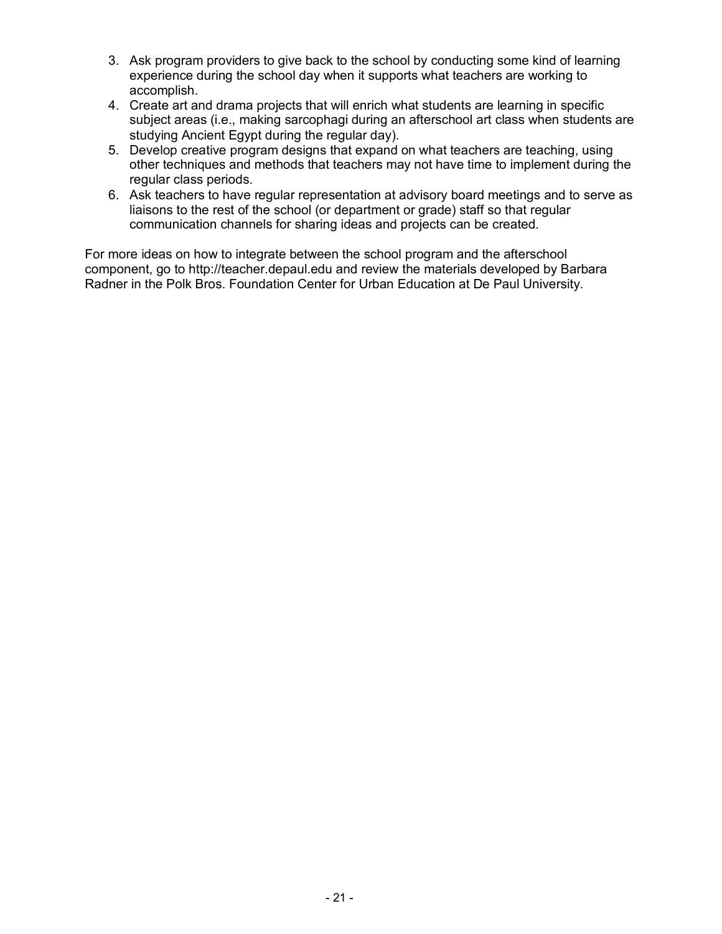- 3. Ask program providers to give back to the school by conducting some kind of learning experience during the school day when it supports what teachers are working to accomplish.
- 4. Create art and drama projects that will enrich what students are learning in specific subject areas (i.e., making sarcophagi during an afterschool art class when students are studying Ancient Egypt during the regular day).
- 5. Develop creative program designs that expand on what teachers are teaching, using other techniques and methods that teachers may not have time to implement during the regular class periods.
- 6. Ask teachers to have regular representation at advisory board meetings and to serve as liaisons to the rest of the school (or department or grade) staff so that regular communication channels for sharing ideas and projects can be created.

For more ideas on how to integrate between the school program and the afterschool component, go to http://teacher.depaul.edu and review the materials developed by Barbara Radner in the Polk Bros. Foundation Center for Urban Education at De Paul University.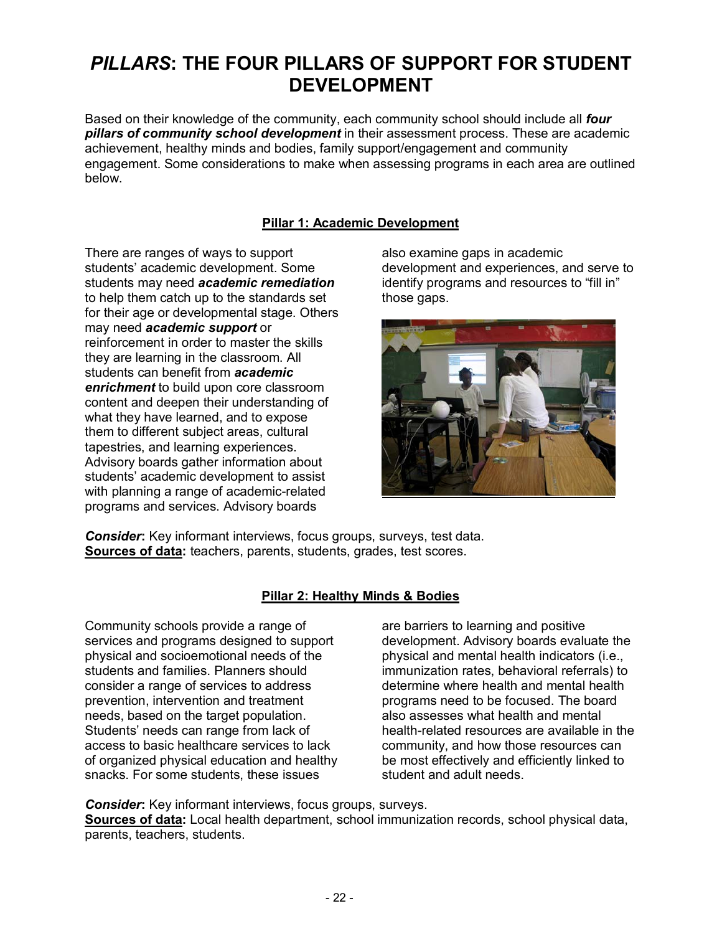## *PILLARS***: THE FOUR PILLARS OF SUPPORT FOR STUDENT DEVELOPMENT**

Based on their knowledge of the community, each community school should include all *four pillars of community school development* in their assessment process. These are academic achievement, healthy minds and bodies, family support/engagement and community engagement. Some considerations to make when assessing programs in each area are outlined below.

## **Pillar 1: Academic Development**

There are ranges of ways to support students' academic development. Some students may need *academic remediation* to help them catch up to the standards set for their age or developmental stage. Others may need *academic support* or reinforcement in order to master the skills they are learning in the classroom. All students can benefit from *academic enrichment* to build upon core classroom content and deepen their understanding of what they have learned, and to expose them to different subject areas, cultural tapestries, and learning experiences. Advisory boards gather information about students' academic development to assist with planning a range of academic-related programs and services. Advisory boards

also examine gaps in academic development and experiences, and serve to identify programs and resources to "fill in" those gaps.



*Consider***:** Key informant interviews, focus groups, surveys, test data. **Sources of data:** teachers, parents, students, grades, test scores.

### **Pillar 2: Healthy Minds & Bodies**

Community schools provide a range of services and programs designed to support physical and socioemotional needs of the students and families. Planners should consider a range of services to address prevention, intervention and treatment needs, based on the target population. Students' needs can range from lack of access to basic healthcare services to lack of organized physical education and healthy snacks. For some students, these issues

are barriers to learning and positive development. Advisory boards evaluate the physical and mental health indicators (i.e., immunization rates, behavioral referrals) to determine where health and mental health programs need to be focused. The board also assesses what health and mental health-related resources are available in the community, and how those resources can be most effectively and efficiently linked to student and adult needs.

*Consider:* Key informant interviews, focus groups, surveys. **Sources of data:** Local health department, school immunization records, school physical data, parents, teachers, students.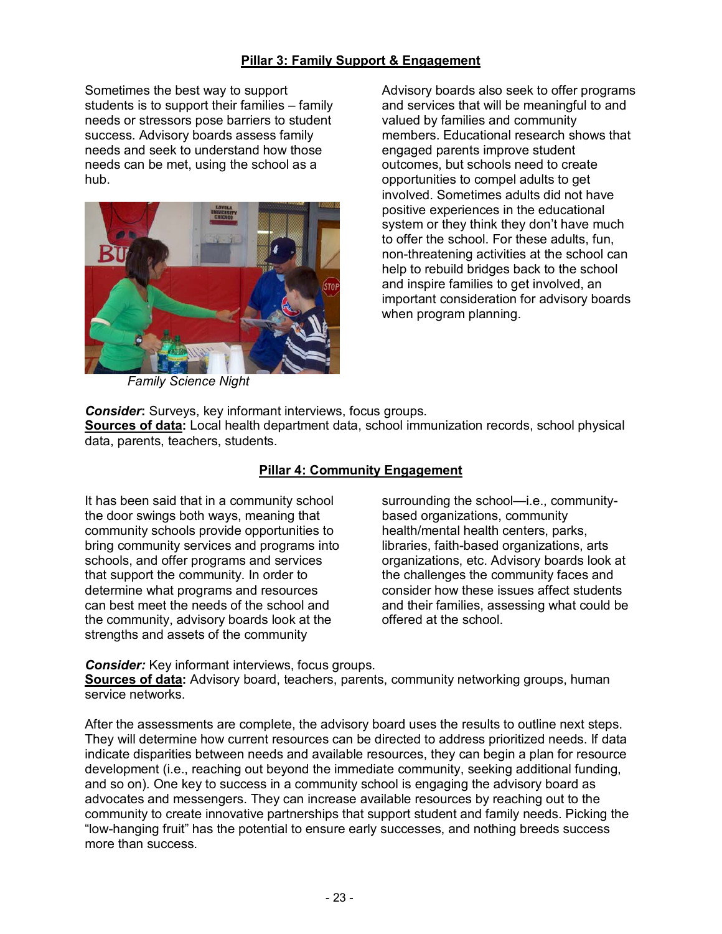### **Pillar 3: Family Support & Engagement**

Sometimes the best way to support students is to support their families  $-$  family needs or stressors pose barriers to student success. Advisory boards assess family needs and seek to understand how those needs can be met, using the school as a hub.



Advisory boards also seek to offer programs and services that will be meaningful to and valued by families and community members. Educational research shows that engaged parents improve student outcomes, but schools need to create opportunities to compel adults to get involved. Sometimes adults did not have positive experiences in the educational system or they think they don't have much to offer the school. For these adults, fun, non-threatening activities at the school can help to rebuild bridges back to the school and inspire families to get involved, an important consideration for advisory boards when program planning.

*Family Science Night* 

*Consider***:** Surveys, key informant interviews, focus groups.

**Sources of data:** Local health department data, school immunization records, school physical data, parents, teachers, students.

## **Pillar 4: Community Engagement**

It has been said that in a community school the door swings both ways, meaning that community schools provide opportunities to bring community services and programs into schools, and offer programs and services that support the community. In order to determine what programs and resources can best meet the needs of the school and the community, advisory boards look at the strengths and assets of the community

surrounding the school—i.e., communitybased organizations, community health/mental health centers, parks, libraries, faith-based organizations, arts organizations, etc. Advisory boards look at the challenges the community faces and consider how these issues affect students and their families, assessing what could be offered at the school.

*Consider:* Key informant interviews, focus groups.

**Sources of data:** Advisory board, teachers, parents, community networking groups, human service networks.

After the assessments are complete, the advisory board uses the results to outline next steps. They will determine how current resources can be directed to address prioritized needs. If data indicate disparities between needs and available resources, they can begin a plan for resource development (i.e., reaching out beyond the immediate community, seeking additional funding, and so on). One key to success in a community school is engaging the advisory board as advocates and messengers. They can increase available resources by reaching out to the community to create innovative partnerships that support student and family needs. Picking the ìlow-hanging fruitî has the potential to ensure early successes, and nothing breeds success more than success.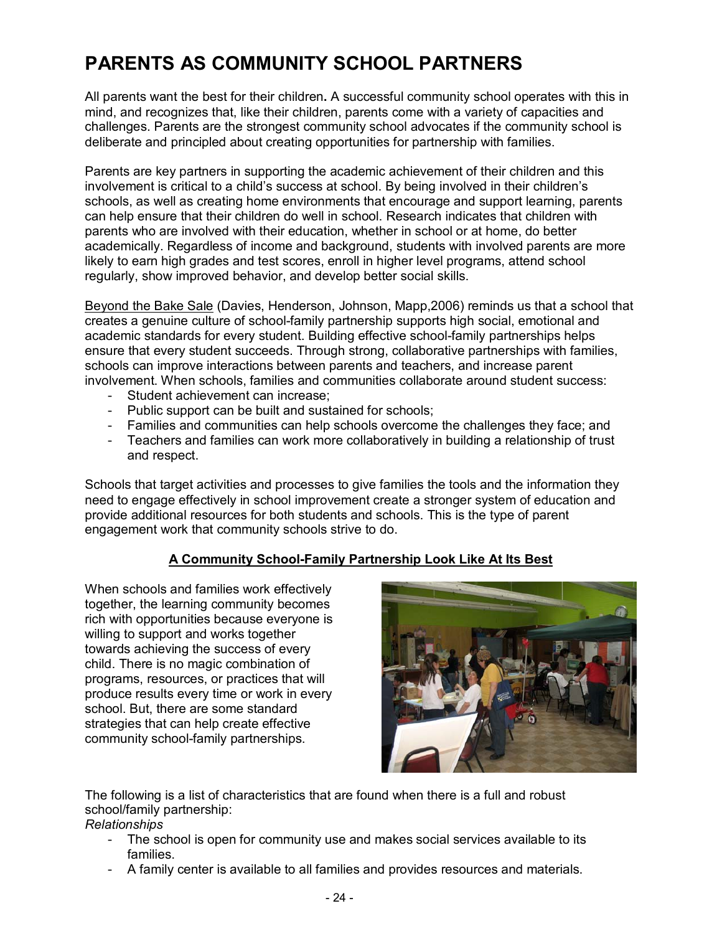## **PARENTS AS COMMUNITY SCHOOL PARTNERS**

All parents want the best for their children**.** A successful community school operates with this in mind, and recognizes that, like their children, parents come with a variety of capacities and challenges. Parents are the strongest community school advocates if the community school is deliberate and principled about creating opportunities for partnership with families.

Parents are key partners in supporting the academic achievement of their children and this involvement is critical to a child's success at school. By being involved in their children's schools, as well as creating home environments that encourage and support learning, parents can help ensure that their children do well in school. Research indicates that children with parents who are involved with their education, whether in school or at home, do better academically. Regardless of income and background, students with involved parents are more likely to earn high grades and test scores, enroll in higher level programs, attend school regularly, show improved behavior, and develop better social skills.

Beyond the Bake Sale (Davies, Henderson, Johnson, Mapp,2006) reminds us that a school that creates a genuine culture of school-family partnership supports high social, emotional and academic standards for every student. Building effective school-family partnerships helps ensure that every student succeeds. Through strong, collaborative partnerships with families, schools can improve interactions between parents and teachers, and increase parent involvement. When schools, families and communities collaborate around student success:

- Student achievement can increase;
- Public support can be built and sustained for schools;
- Families and communities can help schools overcome the challenges they face; and
- Teachers and families can work more collaboratively in building a relationship of trust and respect.

Schools that target activities and processes to give families the tools and the information they need to engage effectively in school improvement create a stronger system of education and provide additional resources for both students and schools. This is the type of parent engagement work that community schools strive to do.

## **A Community School-Family Partnership Look Like At Its Best**

When schools and families work effectively together, the learning community becomes rich with opportunities because everyone is willing to support and works together towards achieving the success of every child. There is no magic combination of programs, resources, or practices that will produce results every time or work in every school. But, there are some standard strategies that can help create effective community school-family partnerships.



The following is a list of characteristics that are found when there is a full and robust school/family partnership:

## *Relationships*

- The school is open for community use and makes social services available to its families.
- A family center is available to all families and provides resources and materials.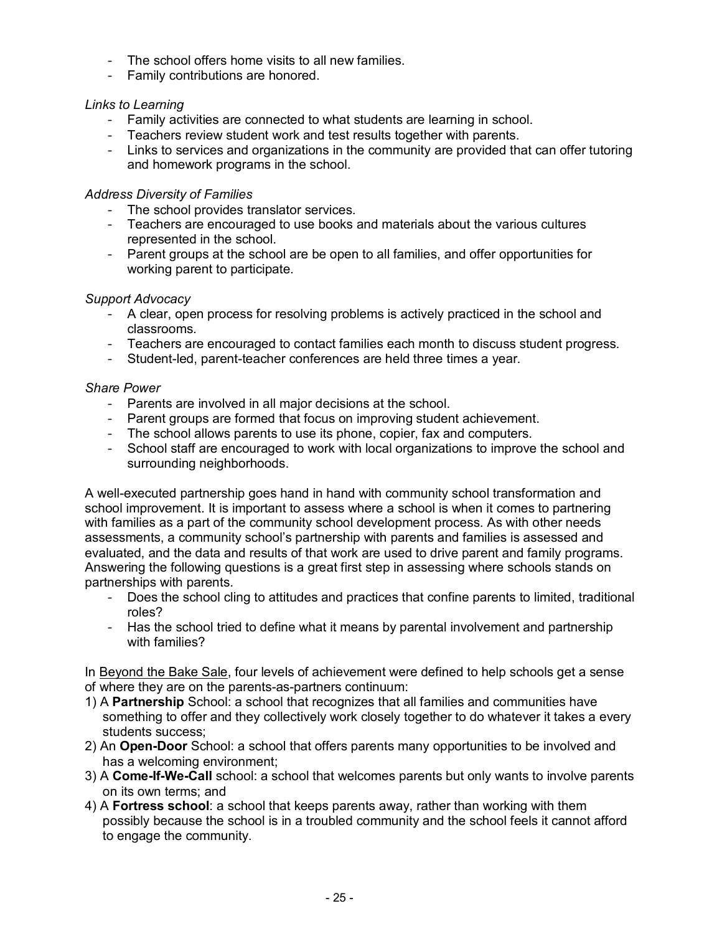- The school offers home visits to all new families.
- Family contributions are honored.

### *Links to Learning*

- Family activities are connected to what students are learning in school.
- Teachers review student work and test results together with parents.
- Links to services and organizations in the community are provided that can offer tutoring and homework programs in the school.

### *Address Diversity of Families*

- The school provides translator services.
- Teachers are encouraged to use books and materials about the various cultures represented in the school.
- Parent groups at the school are be open to all families, and offer opportunities for working parent to participate.

## *Support Advocacy*

- A clear, open process for resolving problems is actively practiced in the school and classrooms.
- Teachers are encouraged to contact families each month to discuss student progress.
- Student-led, parent-teacher conferences are held three times a year.

### *Share Power*

- Parents are involved in all major decisions at the school.
- Parent groups are formed that focus on improving student achievement.
- The school allows parents to use its phone, copier, fax and computers.
- School staff are encouraged to work with local organizations to improve the school and surrounding neighborhoods.

A well-executed partnership goes hand in hand with community school transformation and school improvement. It is important to assess where a school is when it comes to partnering with families as a part of the community school development process. As with other needs assessments, a community school's partnership with parents and families is assessed and evaluated, and the data and results of that work are used to drive parent and family programs. Answering the following questions is a great first step in assessing where schools stands on partnerships with parents.

- Does the school cling to attitudes and practices that confine parents to limited, traditional roles?
- Has the school tried to define what it means by parental involvement and partnership with families?

In Beyond the Bake Sale, four levels of achievement were defined to help schools get a sense of where they are on the parents-as-partners continuum:

- 1) A **Partnership** School: a school that recognizes that all families and communities have something to offer and they collectively work closely together to do whatever it takes a every students success;
- 2) An **Open-Door** School: a school that offers parents many opportunities to be involved and has a welcoming environment;
- 3) A **Come-If-We-Call** school: a school that welcomes parents but only wants to involve parents on its own terms; and
- 4) A **Fortress school**: a school that keeps parents away, rather than working with them possibly because the school is in a troubled community and the school feels it cannot afford to engage the community.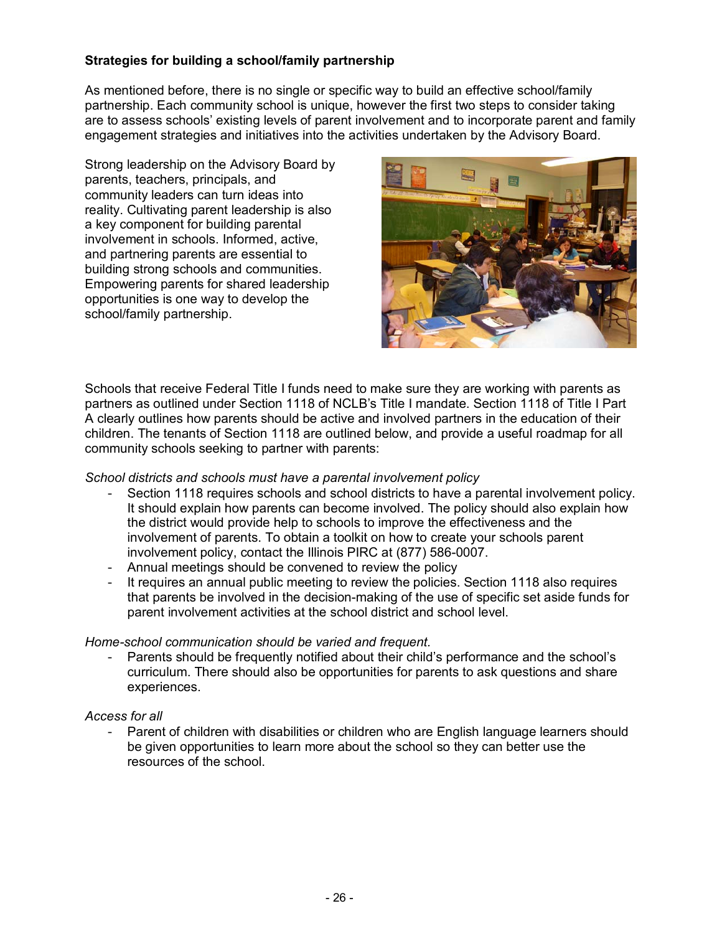## **Strategies for building a school/family partnership**

As mentioned before, there is no single or specific way to build an effective school/family partnership. Each community school is unique, however the first two steps to consider taking are to assess schools' existing levels of parent involvement and to incorporate parent and family engagement strategies and initiatives into the activities undertaken by the Advisory Board.

Strong leadership on the Advisory Board by parents, teachers, principals, and community leaders can turn ideas into reality. Cultivating parent leadership is also a key component for building parental involvement in schools. Informed, active, and partnering parents are essential to building strong schools and communities. Empowering parents for shared leadership opportunities is one way to develop the school/family partnership.



Schools that receive Federal Title I funds need to make sure they are working with parents as partners as outlined under Section 1118 of NCLBís Title I mandate. Section 1118 of Title I Part A clearly outlines how parents should be active and involved partners in the education of their children. The tenants of Section 1118 are outlined below, and provide a useful roadmap for all community schools seeking to partner with parents:

#### *School districts and schools must have a parental involvement policy*

- Section 1118 requires schools and school districts to have a parental involvement policy. It should explain how parents can become involved. The policy should also explain how the district would provide help to schools to improve the effectiveness and the involvement of parents. To obtain a toolkit on how to create your schools parent involvement policy, contact the Illinois PIRC at (877) 586-0007.
- Annual meetings should be convened to review the policy
- It requires an annual public meeting to review the policies. Section 1118 also requires that parents be involved in the decision-making of the use of specific set aside funds for parent involvement activities at the school district and school level.

### *Home-school communication should be varied and frequent.*

Parents should be frequently notified about their child's performance and the school's curriculum. There should also be opportunities for parents to ask questions and share experiences.

### *Access for all*

- Parent of children with disabilities or children who are English language learners should be given opportunities to learn more about the school so they can better use the resources of the school.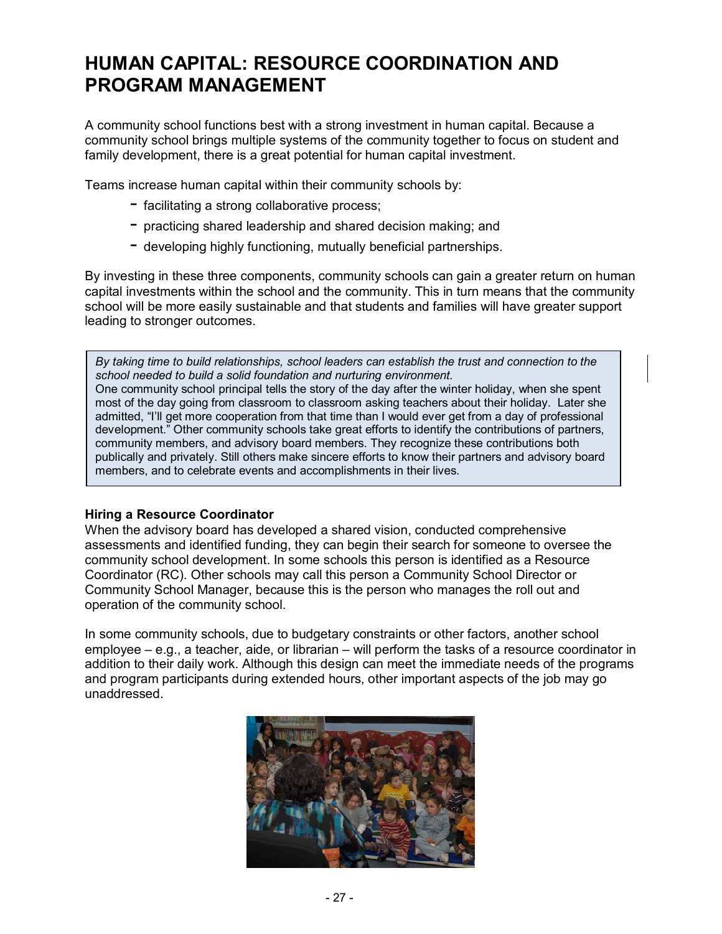## **HUMAN CAPITAL: RESOURCE COORDINATION AND PROGRAM MANAGEMENT**

A community school functions best with a strong investment in human capital. Because a community school brings multiple systems of the community together to focus on student and family development, there is a great potential for human capital investment.

Teams increase human capital within their community schools by:

- $-$  facilitating a strong collaborative process;
- $-$  practicing shared leadership and shared decision making; and
- $-$  developing highly functioning, mutually beneficial partnerships.

By investing in these three components, community schools can gain a greater return on human capital investments within the school and the community. This in turn means that the community school will be more easily sustainable and that students and families will have greater support leading to stronger outcomes.

*By taking time to build relationships, school leaders can establish the trust and connection to the school needed to build a solid foundation and nurturing environment.*  One community school principal tells the story of the day after the winter holiday, when she spent most of the day going from classroom to classroom asking teachers about their holiday. Later she admitted, "I'll get more cooperation from that time than I would ever get from a day of professional development." Other community schools take great efforts to identify the contributions of partners, community members, and advisory board members. They recognize these contributions both publically and privately. Still others make sincere efforts to know their partners and advisory board members, and to celebrate events and accomplishments in their lives.

### **Hiring a Resource Coordinator**

When the advisory board has developed a shared vision, conducted comprehensive assessments and identified funding, they can begin their search for someone to oversee the community school development. In some schools this person is identified as a Resource Coordinator (RC). Other schools may call this person a Community School Director or Community School Manager, because this is the person who manages the roll out and operation of the community school.

In some community schools, due to budgetary constraints or other factors, another school employee  $-$  e.g., a teacher, aide, or librarian  $-$  will perform the tasks of a resource coordinator in addition to their daily work. Although this design can meet the immediate needs of the programs and program participants during extended hours, other important aspects of the job may go unaddressed.

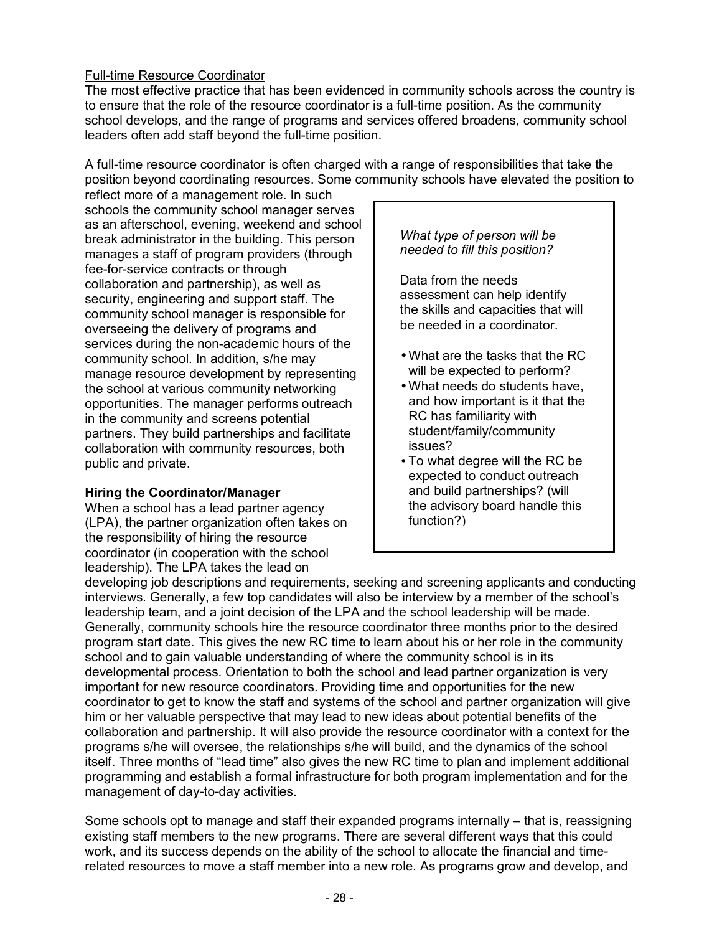## Full-time Resource Coordinator

The most effective practice that has been evidenced in community schools across the country is to ensure that the role of the resource coordinator is a full-time position. As the community school develops, and the range of programs and services offered broadens, community school leaders often add staff beyond the full-time position.

A full-time resource coordinator is often charged with a range of responsibilities that take the position beyond coordinating resources. Some community schools have elevated the position to

reflect more of a management role. In such schools the community school manager serves as an afterschool, evening, weekend and school break administrator in the building. This person manages a staff of program providers (through fee-for-service contracts or through collaboration and partnership), as well as security, engineering and support staff. The community school manager is responsible for overseeing the delivery of programs and services during the non-academic hours of the community school. In addition, s/he may manage resource development by representing the school at various community networking opportunities. The manager performs outreach in the community and screens potential partners. They build partnerships and facilitate collaboration with community resources, both public and private.

### **Hiring the Coordinator/Manager**

When a school has a lead partner agency (LPA), the partner organization often takes on the responsibility of hiring the resource coordinator (in cooperation with the school leadership). The LPA takes the lead on

### *What type of person will be needed to fill this position?*

Data from the needs assessment can help identify the skills and capacities that will be needed in a coordinator.

- What are the tasks that the RC will be expected to perform?
- What needs do students have, and how important is it that the RC has familiarity with student/family/community issues?
- To what degree will the RC be expected to conduct outreach and build partnerships? (will the advisory board handle this function?)

developing job descriptions and requirements, seeking and screening applicants and conducting interviews. Generally, a few top candidates will also be interview by a member of the school's leadership team, and a joint decision of the LPA and the school leadership will be made. Generally, community schools hire the resource coordinator three months prior to the desired program start date. This gives the new RC time to learn about his or her role in the community school and to gain valuable understanding of where the community school is in its developmental process. Orientation to both the school and lead partner organization is very important for new resource coordinators. Providing time and opportunities for the new coordinator to get to know the staff and systems of the school and partner organization will give him or her valuable perspective that may lead to new ideas about potential benefits of the collaboration and partnership. It will also provide the resource coordinator with a context for the programs s/he will oversee, the relationships s/he will build, and the dynamics of the school itself. Three months of "lead time" also gives the new RC time to plan and implement additional programming and establish a formal infrastructure for both program implementation and for the management of day-to-day activities.

Some schools opt to manage and staff their expanded programs internally – that is, reassigning existing staff members to the new programs. There are several different ways that this could work, and its success depends on the ability of the school to allocate the financial and timerelated resources to move a staff member into a new role. As programs grow and develop, and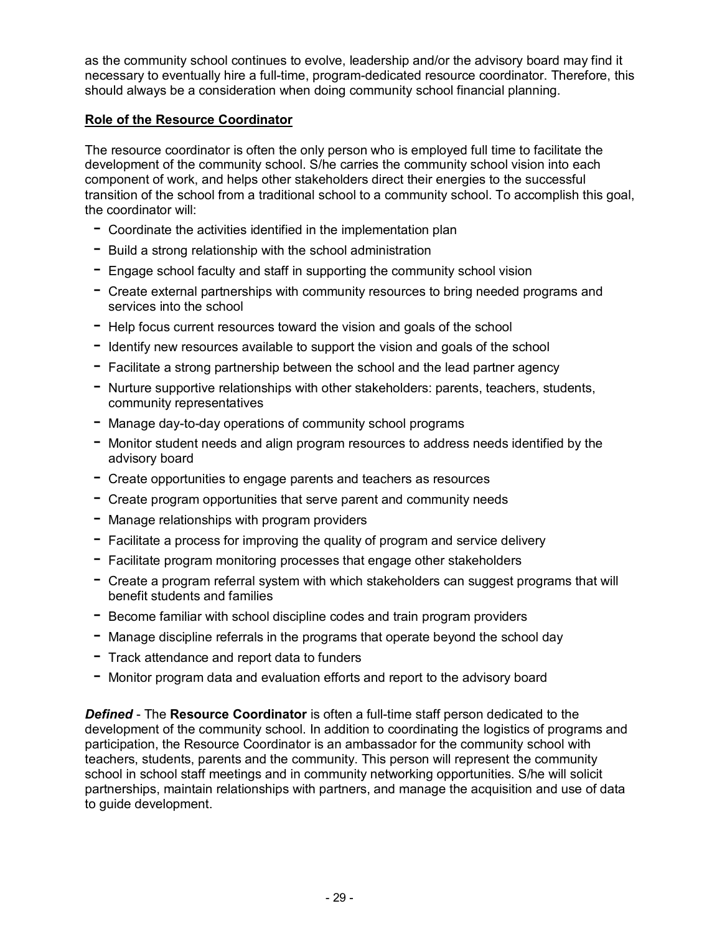as the community school continues to evolve, leadership and/or the advisory board may find it necessary to eventually hire a full-time, program-dedicated resource coordinator. Therefore, this should always be a consideration when doing community school financial planning.

### **Role of the Resource Coordinator**

The resource coordinator is often the only person who is employed full time to facilitate the development of the community school. S/he carries the community school vision into each component of work, and helps other stakeholders direct their energies to the successful transition of the school from a traditional school to a community school. To accomplish this goal, the coordinator will:

- $-$  Coordinate the activities identified in the implementation plan
- $-$  Build a strong relationship with the school administration
- $-$  Engage school faculty and staff in supporting the community school vision
- Create external partnerships with community resources to bring needed programs and services into the school
- $-$  Help focus current resources toward the vision and goals of the school
- $-$  Identify new resources available to support the vision and goals of the school
- $-$  Facilitate a strong partnership between the school and the lead partner agency
- Nurture supportive relationships with other stakeholders: parents, teachers, students, community representatives
- $-$  Manage day-to-day operations of community school programs
- $-$  Monitor student needs and align program resources to address needs identified by the advisory board
- $-$  Create opportunities to engage parents and teachers as resources
- $-$  Create program opportunities that serve parent and community needs
- $-$  Manage relationships with program providers
- $-$  Facilitate a process for improving the quality of program and service delivery
- $-$  Facilitate program monitoring processes that engage other stakeholders
- $-$  Create a program referral system with which stakeholders can suggest programs that will benefit students and families
- $-$  Become familiar with school discipline codes and train program providers
- $-$  Manage discipline referrals in the programs that operate beyond the school day
- $-$  Track attendance and report data to funders
- Monitor program data and evaluation efforts and report to the advisory board

*Defined* - The **Resource Coordinator** is often a full-time staff person dedicated to the development of the community school. In addition to coordinating the logistics of programs and participation, the Resource Coordinator is an ambassador for the community school with teachers, students, parents and the community. This person will represent the community school in school staff meetings and in community networking opportunities. S/he will solicit partnerships, maintain relationships with partners, and manage the acquisition and use of data to guide development.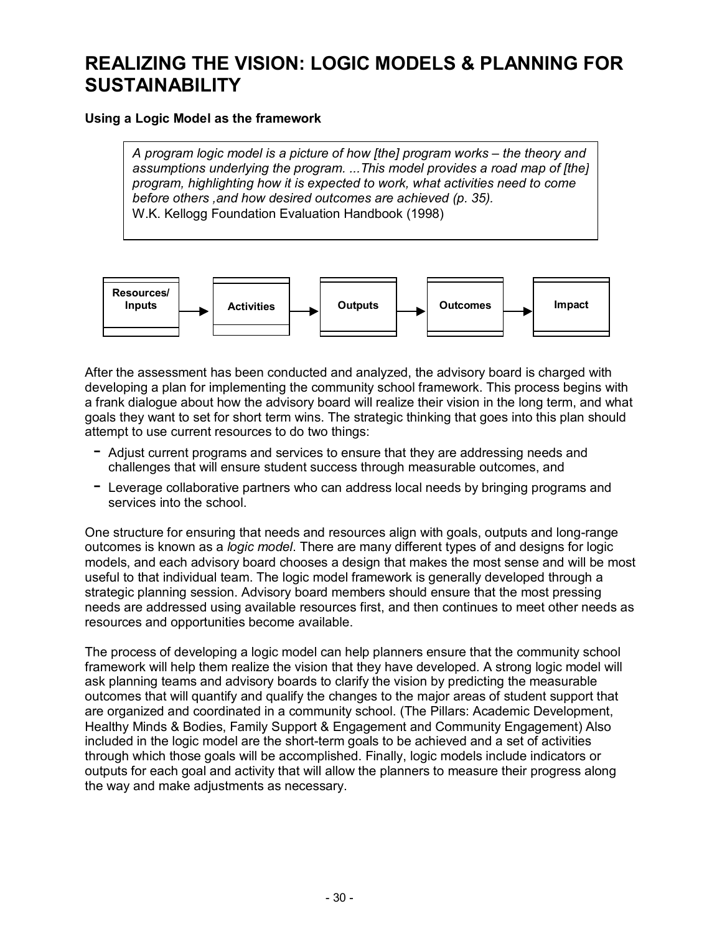## **REALIZING THE VISION: LOGIC MODELS & PLANNING FOR SUSTAINABILITY**

#### **Using a Logic Model as the framework**

*A program logic model is a picture of how [the] program works – the theory and assumptions underlying the program. ...This model provides a road map of [the] program, highlighting how it is expected to work, what activities need to come before others ,and how desired outcomes are achieved (p. 35).*  W.K. Kellogg Foundation Evaluation Handbook (1998)



After the assessment has been conducted and analyzed, the advisory board is charged with developing a plan for implementing the community school framework. This process begins with a frank dialogue about how the advisory board will realize their vision in the long term, and what goals they want to set for short term wins. The strategic thinking that goes into this plan should attempt to use current resources to do two things:

- $-$  Adjust current programs and services to ensure that they are addressing needs and challenges that will ensure student success through measurable outcomes, and
- $-$  Leverage collaborative partners who can address local needs by bringing programs and services into the school

One structure for ensuring that needs and resources align with goals, outputs and long-range outcomes is known as a *logic model*. There are many different types of and designs for logic models, and each advisory board chooses a design that makes the most sense and will be most useful to that individual team. The logic model framework is generally developed through a strategic planning session. Advisory board members should ensure that the most pressing needs are addressed using available resources first, and then continues to meet other needs as resources and opportunities become available.

The process of developing a logic model can help planners ensure that the community school framework will help them realize the vision that they have developed. A strong logic model will ask planning teams and advisory boards to clarify the vision by predicting the measurable outcomes that will quantify and qualify the changes to the major areas of student support that are organized and coordinated in a community school. (The Pillars: Academic Development, Healthy Minds & Bodies, Family Support & Engagement and Community Engagement) Also included in the logic model are the short-term goals to be achieved and a set of activities through which those goals will be accomplished. Finally, logic models include indicators or outputs for each goal and activity that will allow the planners to measure their progress along the way and make adjustments as necessary.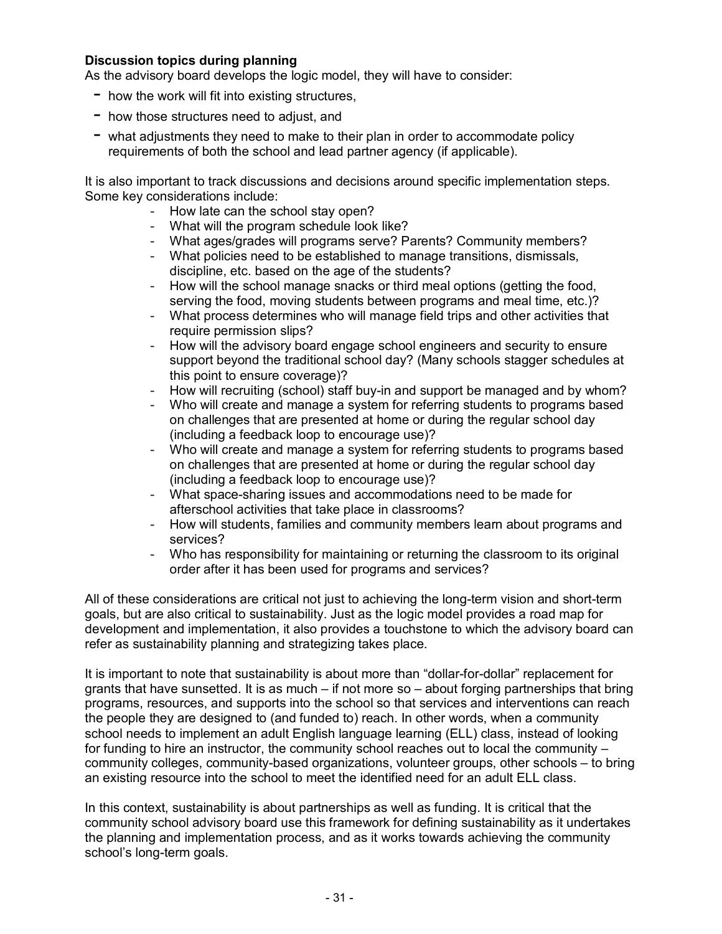#### **Discussion topics during planning**

As the advisory board develops the logic model, they will have to consider:

- $-$  how the work will fit into existing structures,
- $-$  how those structures need to adjust, and
- $-$  what adjustments they need to make to their plan in order to accommodate policy requirements of both the school and lead partner agency (if applicable).

It is also important to track discussions and decisions around specific implementation steps. Some key considerations include:

- How late can the school stay open?
- What will the program schedule look like?
- What ages/grades will programs serve? Parents? Community members?
- What policies need to be established to manage transitions, dismissals, discipline, etc. based on the age of the students?
- How will the school manage snacks or third meal options (getting the food, serving the food, moving students between programs and meal time, etc.)?
- What process determines who will manage field trips and other activities that require permission slips?
- How will the advisory board engage school engineers and security to ensure support beyond the traditional school day? (Many schools stagger schedules at this point to ensure coverage)?
- How will recruiting (school) staff buy-in and support be managed and by whom?
- Who will create and manage a system for referring students to programs based on challenges that are presented at home or during the regular school day (including a feedback loop to encourage use)?
- Who will create and manage a system for referring students to programs based on challenges that are presented at home or during the regular school day (including a feedback loop to encourage use)?
- What space-sharing issues and accommodations need to be made for afterschool activities that take place in classrooms?
- How will students, families and community members learn about programs and services?
- Who has responsibility for maintaining or returning the classroom to its original order after it has been used for programs and services?

All of these considerations are critical not just to achieving the long-term vision and short-term goals, but are also critical to sustainability. Just as the logic model provides a road map for development and implementation, it also provides a touchstone to which the advisory board can refer as sustainability planning and strategizing takes place.

It is important to note that sustainability is about more than "dollar-for-dollar" replacement for grants that have sunsetted. It is as much  $-$  if not more so  $-$  about forging partnerships that bring programs, resources, and supports into the school so that services and interventions can reach the people they are designed to (and funded to) reach. In other words, when a community school needs to implement an adult English language learning (ELL) class, instead of looking for funding to hire an instructor, the community school reaches out to local the community  $$ community colleges, community-based organizations, volunteer groups, other schools  $-$  to bring an existing resource into the school to meet the identified need for an adult ELL class.

In this context, sustainability is about partnerships as well as funding. It is critical that the community school advisory board use this framework for defining sustainability as it undertakes the planning and implementation process, and as it works towards achieving the community school's long-term goals.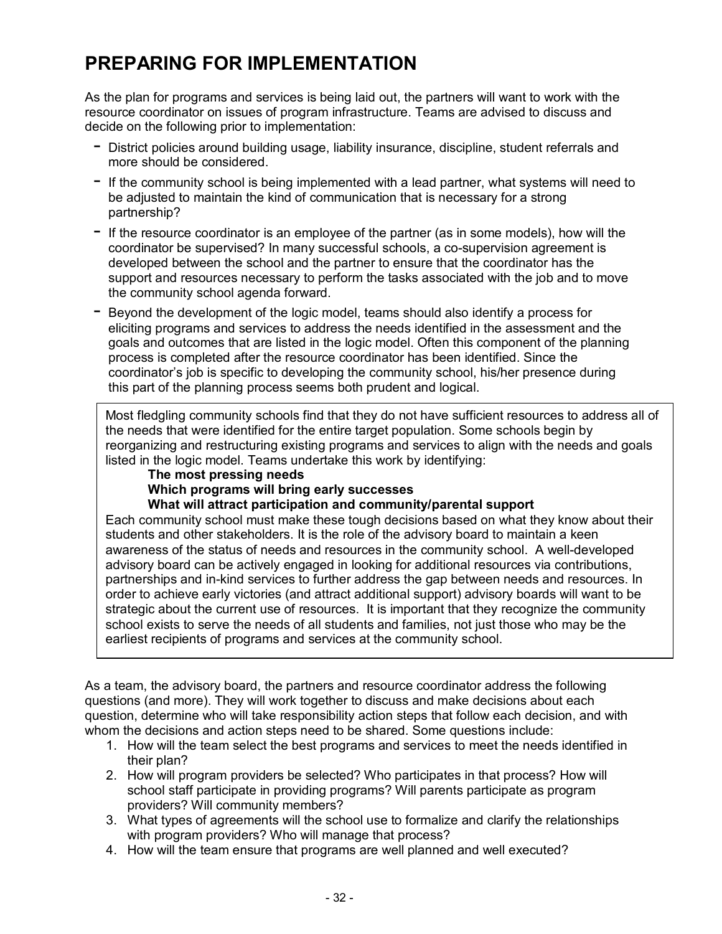## **PREPARING FOR IMPLEMENTATION**

As the plan for programs and services is being laid out, the partners will want to work with the resource coordinator on issues of program infrastructure. Teams are advised to discuss and decide on the following prior to implementation:

- District policies around building usage, liability insurance, discipline, student referrals and more should be considered.
- $-$  If the community school is being implemented with a lead partner, what systems will need to be adjusted to maintain the kind of communication that is necessary for a strong partnership?
- $-$  If the resource coordinator is an employee of the partner (as in some models), how will the coordinator be supervised? In many successful schools, a co-supervision agreement is developed between the school and the partner to ensure that the coordinator has the support and resources necessary to perform the tasks associated with the job and to move the community school agenda forward.
- $-$  Beyond the development of the logic model, teams should also identify a process for eliciting programs and services to address the needs identified in the assessment and the goals and outcomes that are listed in the logic model. Often this component of the planning process is completed after the resource coordinator has been identified. Since the coordinatorís job is specific to developing the community school, his/her presence during this part of the planning process seems both prudent and logical.

Most fledgling community schools find that they do not have sufficient resources to address all of the needs that were identified for the entire target population. Some schools begin by reorganizing and restructuring existing programs and services to align with the needs and goals listed in the logic model. Teams undertake this work by identifying:

### **The most pressing needs**

**Which programs will bring early successes** 

**What will attract participation and community/parental support** 

Each community school must make these tough decisions based on what they know about their students and other stakeholders. It is the role of the advisory board to maintain a keen awareness of the status of needs and resources in the community school. A well-developed advisory board can be actively engaged in looking for additional resources via contributions, partnerships and in-kind services to further address the gap between needs and resources. In order to achieve early victories (and attract additional support) advisory boards will want to be strategic about the current use of resources. It is important that they recognize the community school exists to serve the needs of all students and families, not just those who may be the earliest recipients of programs and services at the community school.

As a team, the advisory board, the partners and resource coordinator address the following questions (and more). They will work together to discuss and make decisions about each question, determine who will take responsibility action steps that follow each decision, and with whom the decisions and action steps need to be shared. Some questions include:

- 1. How will the team select the best programs and services to meet the needs identified in their plan?
- 2. How will program providers be selected? Who participates in that process? How will school staff participate in providing programs? Will parents participate as program providers? Will community members?
- 3. What types of agreements will the school use to formalize and clarify the relationships with program providers? Who will manage that process?
- 4. How will the team ensure that programs are well planned and well executed?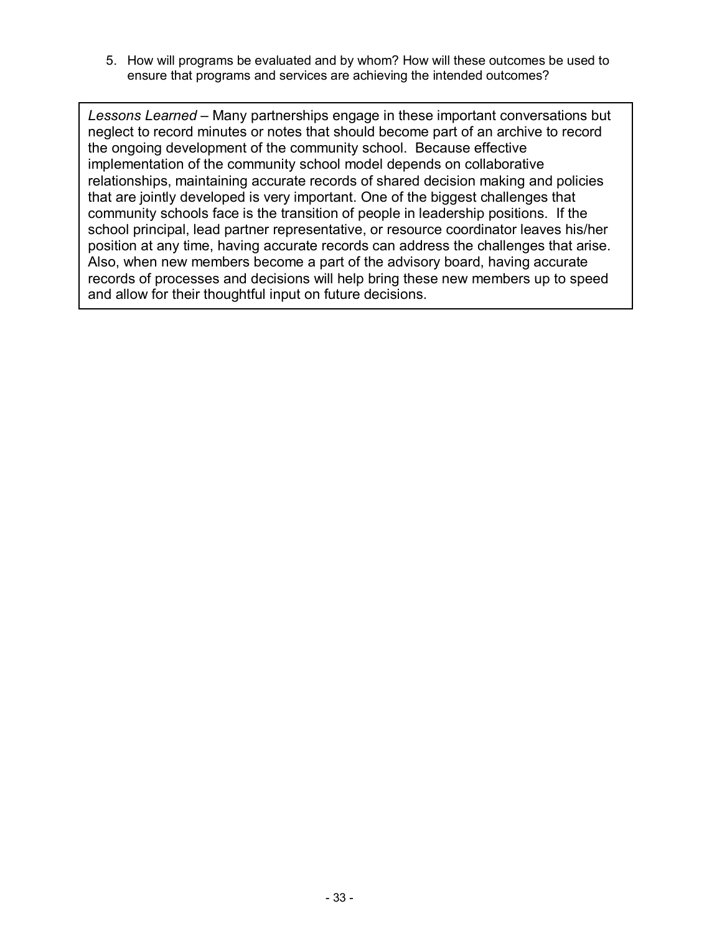5. How will programs be evaluated and by whom? How will these outcomes be used to ensure that programs and services are achieving the intended outcomes?

*Lessons Learned* – Many partnerships engage in these important conversations but neglect to record minutes or notes that should become part of an archive to record the ongoing development of the community school. Because effective implementation of the community school model depends on collaborative relationships, maintaining accurate records of shared decision making and policies that are jointly developed is very important. One of the biggest challenges that community schools face is the transition of people in leadership positions. If the school principal, lead partner representative, or resource coordinator leaves his/her position at any time, having accurate records can address the challenges that arise. Also, when new members become a part of the advisory board, having accurate records of processes and decisions will help bring these new members up to speed and allow for their thoughtful input on future decisions.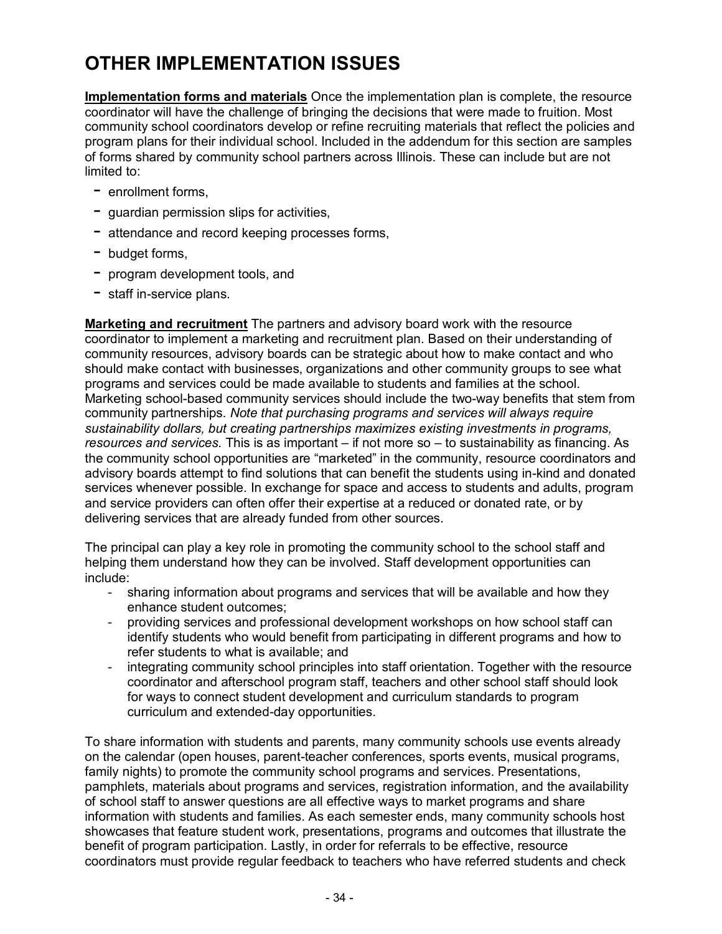## **OTHER IMPLEMENTATION ISSUES**

**Implementation forms and materials** Once the implementation plan is complete, the resource coordinator will have the challenge of bringing the decisions that were made to fruition. Most community school coordinators develop or refine recruiting materials that reflect the policies and program plans for their individual school. Included in the addendum for this section are samples of forms shared by community school partners across Illinois. These can include but are not limited to:

- $-$  enrollment forms,
- $-$  quardian permission slips for activities,
- $-$  attendance and record keeping processes forms,
- $-$  budget forms,
- $-$  program development tools, and
- $-$  staff in-service plans.

**Marketing and recruitment** The partners and advisory board work with the resource coordinator to implement a marketing and recruitment plan. Based on their understanding of community resources, advisory boards can be strategic about how to make contact and who should make contact with businesses, organizations and other community groups to see what programs and services could be made available to students and families at the school. Marketing school-based community services should include the two-way benefits that stem from community partnerships. *Note that purchasing programs and services will always require sustainability dollars, but creating partnerships maximizes existing investments in programs, resources and services.* This is as important – if not more so – to sustainability as financing. As the community school opportunities are "marketed" in the community, resource coordinators and advisory boards attempt to find solutions that can benefit the students using in-kind and donated services whenever possible. In exchange for space and access to students and adults, program and service providers can often offer their expertise at a reduced or donated rate, or by delivering services that are already funded from other sources.

The principal can play a key role in promoting the community school to the school staff and helping them understand how they can be involved. Staff development opportunities can include:

- sharing information about programs and services that will be available and how they enhance student outcomes;
- providing services and professional development workshops on how school staff can identify students who would benefit from participating in different programs and how to refer students to what is available; and
- integrating community school principles into staff orientation. Together with the resource coordinator and afterschool program staff, teachers and other school staff should look for ways to connect student development and curriculum standards to program curriculum and extended-day opportunities.

To share information with students and parents, many community schools use events already on the calendar (open houses, parent-teacher conferences, sports events, musical programs, family nights) to promote the community school programs and services. Presentations, pamphlets, materials about programs and services, registration information, and the availability of school staff to answer questions are all effective ways to market programs and share information with students and families. As each semester ends, many community schools host showcases that feature student work, presentations, programs and outcomes that illustrate the benefit of program participation. Lastly, in order for referrals to be effective, resource coordinators must provide regular feedback to teachers who have referred students and check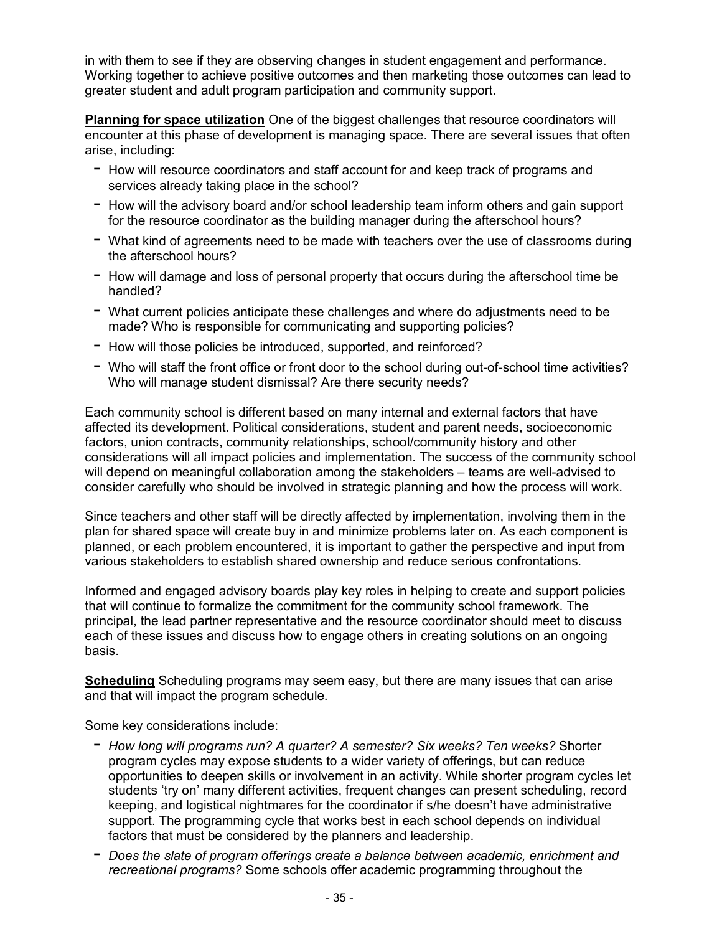in with them to see if they are observing changes in student engagement and performance. Working together to achieve positive outcomes and then marketing those outcomes can lead to greater student and adult program participation and community support.

**Planning for space utilization** One of the biggest challenges that resource coordinators will encounter at this phase of development is managing space. There are several issues that often arise, including:

- $-$  How will resource coordinators and staff account for and keep track of programs and services already taking place in the school?
- $-$  How will the advisory board and/or school leadership team inform others and gain support for the resource coordinator as the building manager during the afterschool hours?
- $-$  What kind of agreements need to be made with teachers over the use of classrooms during the afterschool hours?
- $-$  How will damage and loss of personal property that occurs during the afterschool time be handled?
- $-$  What current policies anticipate these challenges and where do adjustments need to be made? Who is responsible for communicating and supporting policies?
- $-$  How will those policies be introduced, supported, and reinforced?
- Who will staff the front office or front door to the school during out-of-school time activities? Who will manage student dismissal? Are there security needs?

Each community school is different based on many internal and external factors that have affected its development. Political considerations, student and parent needs, socioeconomic factors, union contracts, community relationships, school/community history and other considerations will all impact policies and implementation. The success of the community school will depend on meaningful collaboration among the stakeholders – teams are well-advised to consider carefully who should be involved in strategic planning and how the process will work.

Since teachers and other staff will be directly affected by implementation, involving them in the plan for shared space will create buy in and minimize problems later on. As each component is planned, or each problem encountered, it is important to gather the perspective and input from various stakeholders to establish shared ownership and reduce serious confrontations.

Informed and engaged advisory boards play key roles in helping to create and support policies that will continue to formalize the commitment for the community school framework. The principal, the lead partner representative and the resource coordinator should meet to discuss each of these issues and discuss how to engage others in creating solutions on an ongoing basis.

**Scheduling** Scheduling programs may seem easy, but there are many issues that can arise and that will impact the program schedule.

### Some key considerations include:

- *How long will programs run? A quarter? A semester? Six weeks? Ten weeks?* Shorter program cycles may expose students to a wider variety of offerings, but can reduce opportunities to deepen skills or involvement in an activity. While shorter program cycles let students 'try on' many different activities, frequent changes can present scheduling, record keeping, and logistical nightmares for the coordinator if s/he doesnít have administrative support. The programming cycle that works best in each school depends on individual factors that must be considered by the planners and leadership.
- *Does the slate of program offerings create a balance between academic, enrichment and recreational programs?* Some schools offer academic programming throughout the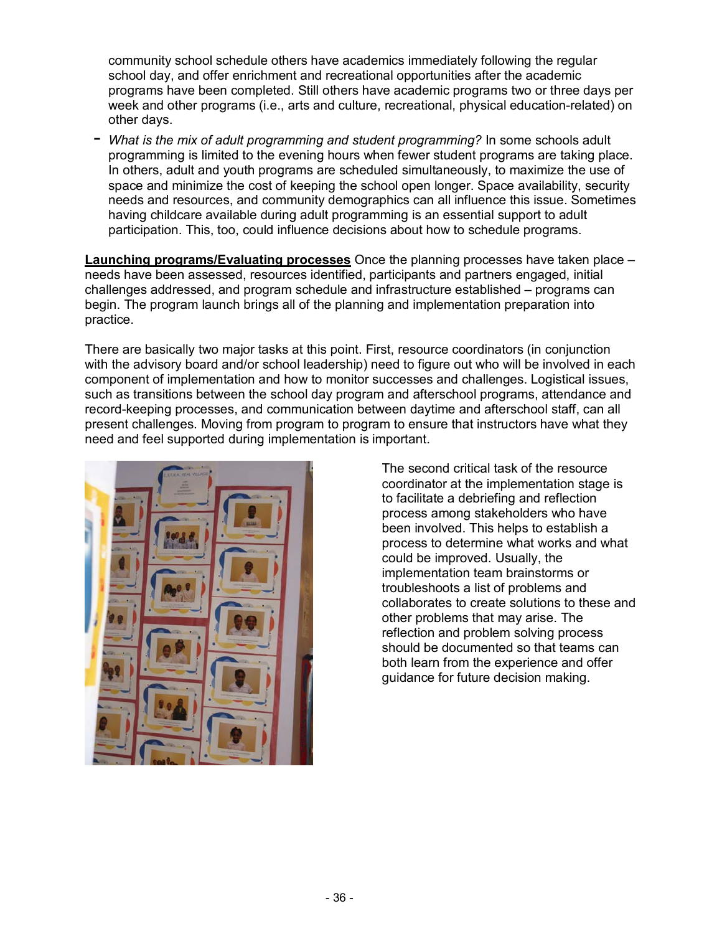community school schedule others have academics immediately following the regular school day, and offer enrichment and recreational opportunities after the academic programs have been completed. Still others have academic programs two or three days per week and other programs (i.e., arts and culture, recreational, physical education-related) on other days.

- *What is the mix of adult programming and student programming?* In some schools adult programming is limited to the evening hours when fewer student programs are taking place. In others, adult and youth programs are scheduled simultaneously, to maximize the use of space and minimize the cost of keeping the school open longer. Space availability, security needs and resources, and community demographics can all influence this issue. Sometimes having childcare available during adult programming is an essential support to adult participation. This, too, could influence decisions about how to schedule programs.

**Launching programs/Evaluating processes** Once the planning processes have taken place – needs have been assessed, resources identified, participants and partners engaged, initial  $chall$ enges addressed, and program schedule and infrastructure established  $-$  programs can begin. The program launch brings all of the planning and implementation preparation into practice.

There are basically two major tasks at this point. First, resource coordinators (in conjunction with the advisory board and/or school leadership) need to figure out who will be involved in each component of implementation and how to monitor successes and challenges. Logistical issues, such as transitions between the school day program and afterschool programs, attendance and record-keeping processes, and communication between daytime and afterschool staff, can all present challenges. Moving from program to program to ensure that instructors have what they need and feel supported during implementation is important.



The second critical task of the resource coordinator at the implementation stage is to facilitate a debriefing and reflection process among stakeholders who have been involved. This helps to establish a process to determine what works and what could be improved. Usually, the implementation team brainstorms or troubleshoots a list of problems and collaborates to create solutions to these and other problems that may arise. The reflection and problem solving process should be documented so that teams can both learn from the experience and offer guidance for future decision making.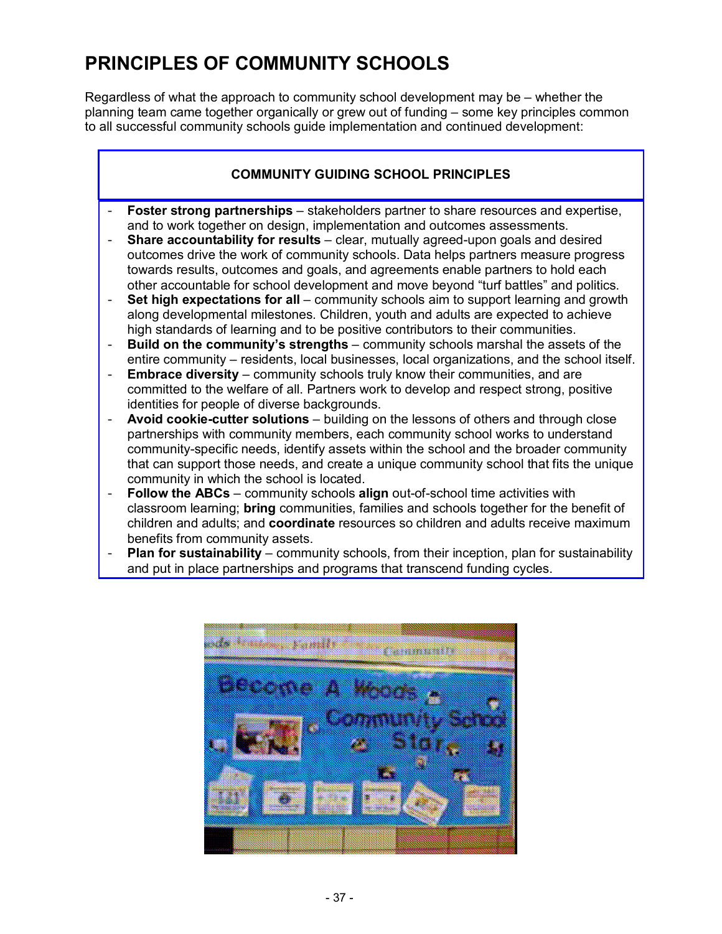## **PRINCIPLES OF COMMUNITY SCHOOLS**

Regardless of what the approach to community school development may be  $-$  whether the planning team came together organically or grew out of funding – some key principles common to all successful community schools guide implementation and continued development:

## **COMMUNITY GUIDING SCHOOL PRINCIPLES**

- **Foster strong partnerships** stakeholders partner to share resources and expertise, and to work together on design, implementation and outcomes assessments.
- **Share accountability for results** clear, mutually agreed-upon goals and desired outcomes drive the work of community schools. Data helps partners measure progress towards results, outcomes and goals, and agreements enable partners to hold each other accountable for school development and move beyond "turf battles" and politics.
- Set high expectations for all community schools aim to support learning and growth along developmental milestones. Children, youth and adults are expected to achieve high standards of learning and to be positive contributors to their communities.
- **Build on the community's strengths** community schools marshal the assets of the entire community – residents, local businesses, local organizations, and the school itself.
- **Embrace diversity** community schools truly know their communities, and are committed to the welfare of all. Partners work to develop and respect strong, positive identities for people of diverse backgrounds.
- **Avoid cookie-cutter solutions** building on the lessons of others and through close partnerships with community members, each community school works to understand community-specific needs, identify assets within the school and the broader community that can support those needs, and create a unique community school that fits the unique community in which the school is located.
- **Follow the ABCs** community schools **align** out-of-school time activities with classroom learning; **bring** communities, families and schools together for the benefit of children and adults; and **coordinate** resources so children and adults receive maximum benefits from community assets.
- **Plan for sustainability** community schools, from their inception, plan for sustainability and put in place partnerships and programs that transcend funding cycles.